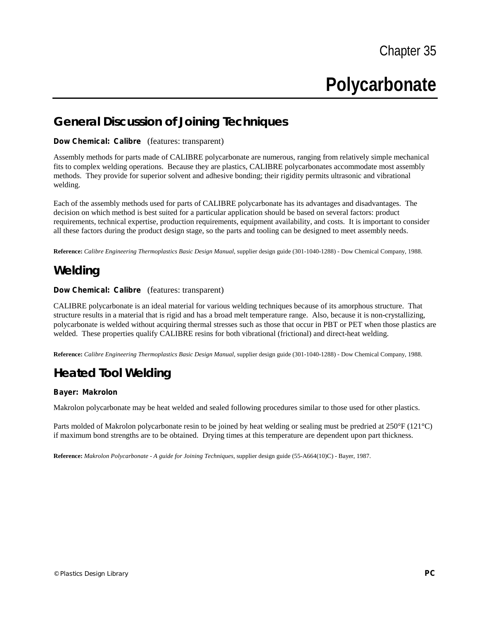# **Polycarbonate**

# **General Discussion of Joining Techniques**

**Dow Chemical: Calibre** (features: transparent)

Assembly methods for parts made of CALIBRE polycarbonate are numerous, ranging from relatively simple mechanical fits to complex welding operations. Because they are plastics, CALIBRE polycarbonates accommodate most assembly methods. They provide for superior solvent and adhesive bonding; their rigidity permits ultrasonic and vibrational welding.

Each of the assembly methods used for parts of CALIBRE polycarbonate has its advantages and disadvantages. The decision on which method is best suited for a particular application should be based on several factors: product requirements, technical expertise, production requirements, equipment availability, and costs. It is important to consider all these factors during the product design stage, so the parts and tooling can be designed to meet assembly needs.

**Reference:** *Calibre Engineering Thermoplastics Basic Design Manual,* supplier design guide (301-1040-1288) - Dow Chemical Company, 1988.

# **Welding**

### **Dow Chemical: Calibre** (features: transparent)

CALIBRE polycarbonate is an ideal material for various welding techniques because of its amorphous structure. That structure results in a material that is rigid and has a broad melt temperature range. Also, because it is non-crystallizing, polycarbonate is welded without acquiring thermal stresses such as those that occur in PBT or PET when those plastics are welded. These properties qualify CALIBRE resins for both vibrational (frictional) and direct-heat welding.

**Reference:** *Calibre Engineering Thermoplastics Basic Design Manual,* supplier design guide (301-1040-1288) - Dow Chemical Company, 1988.

# **Heated Tool Welding**

### **Bayer: Makrolon**

Makrolon polycarbonate may be heat welded and sealed following procedures similar to those used for other plastics.

Parts molded of Makrolon polycarbonate resin to be joined by heat welding or sealing must be predried at 250°F (121°C) if maximum bond strengths are to be obtained. Drying times at this temperature are dependent upon part thickness.

**Reference:** *Makrolon Polycarbonate - A guide for Joining Techniques,* supplier design guide (55-A664(10)C) - Bayer, 1987.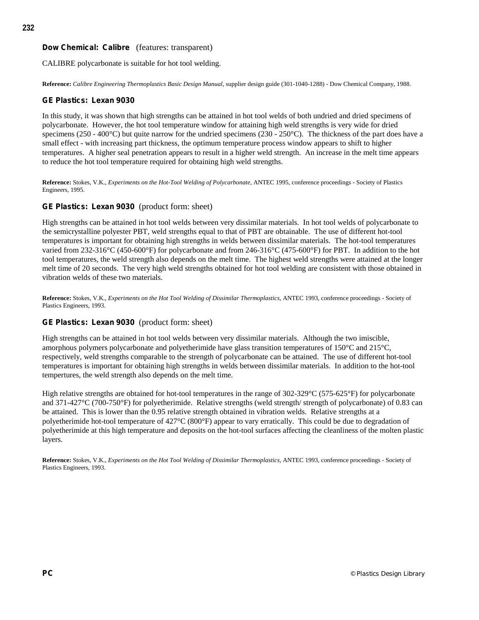### **Dow Chemical: Calibre** (features: transparent)

CALIBRE polycarbonate is suitable for hot tool welding.

**Reference:** *Calibre Engineering Thermoplastics Basic Design Manual,* supplier design guide (301-1040-1288) - Dow Chemical Company, 1988.

#### **GE Plastics: Lexan 9030**

In this study, it was shown that high strengths can be attained in hot tool welds of both undried and dried specimens of polycarbonate. However, the hot tool temperature window for attaining high weld strengths is very wide for dried specimens (250 - 400°C) but quite narrow for the undried specimens (230 - 250°C). The thickness of the part does have a small effect - with increasing part thickness, the optimum temperature process window appears to shift to higher temperatures. A higher seal penetration appears to result in a higher weld strength. An increase in the melt time appears to reduce the hot tool temperature required for obtaining high weld strengths.

**Reference:** Stokes, V.K., *Experiments on the Hot-Tool Welding of Polycarbonate,* ANTEC 1995, conference proceedings - Society of Plastics Engineers, 1995.

#### **GE Plastics: Lexan 9030** (product form: sheet)

High strengths can be attained in hot tool welds between very dissimilar materials. In hot tool welds of polycarbonate to the semicrystalline polyester PBT, weld strengths equal to that of PBT are obtainable. The use of different hot-tool temperatures is important for obtaining high strengths in welds between dissimilar materials. The hot-tool temperatures varied from 232-316°C (450-600°F) for polycarbonate and from 246-316°C (475-600°F) for PBT. In addition to the hot tool temperatures, the weld strength also depends on the melt time. The highest weld strengths were attained at the longer melt time of 20 seconds. The very high weld strengths obtained for hot tool welding are consistent with those obtained in vibration welds of these two materials.

**Reference:** Stokes, V.K., *Experiments on the Hot Tool Welding of Dissimilar Thermoplastics,* ANTEC 1993, conference proceedings - Society of Plastics Engineers, 1993.

#### **GE Plastics: Lexan 9030** (product form: sheet)

High strengths can be attained in hot tool welds between very dissimilar materials. Although the two imiscible, amorphous polymers polycarbonate and polyetherimide have glass transition temperatures of 150°C and 215°C, respectively, weld strengths comparable to the strength of polycarbonate can be attained. The use of different hot-tool temperatures is important for obtaining high strengths in welds between dissimilar materials. In addition to the hot-tool tempertures, the weld strength also depends on the melt time.

High relative strengths are obtained for hot-tool temperatures in the range of 302-329°C (575-625°F) for polycarbonate and  $371-427^{\circ}$ C (700-750 $^{\circ}$ F) for polyetherimide. Relative strengths (weld strength/ strength of polycarbonate) of 0.83 can be attained. This is lower than the 0.95 relative strength obtained in vibration welds. Relative strengths at a polyetherimide hot-tool temperature of 427°C (800°F) appear to vary erratically. This could be due to degradation of polyetherimide at this high temperature and deposits on the hot-tool surfaces affecting the cleanliness of the molten plastic layers.

**Reference:** Stokes, V.K., *Experiments on the Hot Tool Welding of Dissimilar Thermoplastics,* ANTEC 1993, conference proceedings - Society of Plastics Engineers, 1993.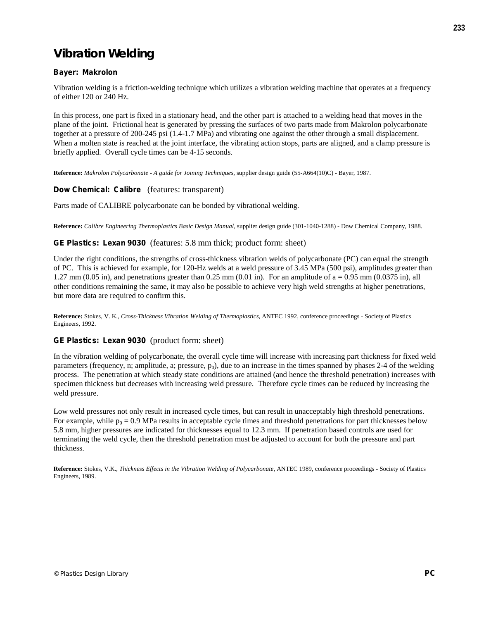# **Vibration Welding**

### **Bayer: Makrolon**

Vibration welding is a friction-welding technique which utilizes a vibration welding machine that operates at a frequency of either 120 or 240 Hz.

In this process, one part is fixed in a stationary head, and the other part is attached to a welding head that moves in the plane of the joint. Frictional heat is generated by pressing the surfaces of two parts made from Makrolon polycarbonate together at a pressure of 200-245 psi (1.4-1.7 MPa) and vibrating one against the other through a small displacement. When a molten state is reached at the joint interface, the vibrating action stops, parts are aligned, and a clamp pressure is briefly applied. Overall cycle times can be 4-15 seconds.

**Reference:** *Makrolon Polycarbonate - A guide for Joining Techniques,* supplier design guide (55-A664(10)C) - Bayer, 1987.

#### **Dow Chemical: Calibre** (features: transparent)

Parts made of CALIBRE polycarbonate can be bonded by vibrational welding.

**Reference:** *Calibre Engineering Thermoplastics Basic Design Manual,* supplier design guide (301-1040-1288) - Dow Chemical Company, 1988.

#### **GE Plastics: Lexan 9030** (features: 5.8 mm thick; product form: sheet)

Under the right conditions, the strengths of cross-thickness vibration welds of polycarbonate (PC) can equal the strength of PC. This is achieved for example, for 120-Hz welds at a weld pressure of 3.45 MPa (500 psi), amplitudes greater than 1.27 mm (0.05 in), and penetrations greater than 0.25 mm (0.01 in). For an amplitude of  $a = 0.95$  mm (0.0375 in), all other conditions remaining the same, it may also be possible to achieve very high weld strengths at higher penetrations, but more data are required to confirm this.

**Reference:** Stokes, V. K., *Cross-Thickness Vibration Welding of Thermoplastics,* ANTEC 1992, conference proceedings - Society of Plastics Engineers, 1992.

#### **GE Plastics: Lexan 9030** (product form: sheet)

In the vibration welding of polycarbonate, the overall cycle time will increase with increasing part thickness for fixed weld parameters (frequency, n; amplitude, a; pressure,  $p_0$ ), due to an increase in the times spanned by phases 2-4 of the welding process. The penetration at which steady state conditions are attained (and hence the threshold penetration) increases with specimen thickness but decreases with increasing weld pressure. Therefore cycle times can be reduced by increasing the weld pressure.

Low weld pressures not only result in increased cycle times, but can result in unacceptably high threshold penetrations. For example, while  $p_0 = 0.9$  MPa results in acceptable cycle times and threshold penetrations for part thicknesses below 5.8 mm, higher pressures are indicated for thicknesses equal to 12.3 mm. If penetration based controls are used for terminating the weld cycle, then the threshold penetration must be adjusted to account for both the pressure and part thickness.

**Reference:** Stokes, V.K., *Thickness Effects in the Vibration Welding of Polycarbonate,* ANTEC 1989, conference proceedings - Society of Plastics Engineers, 1989.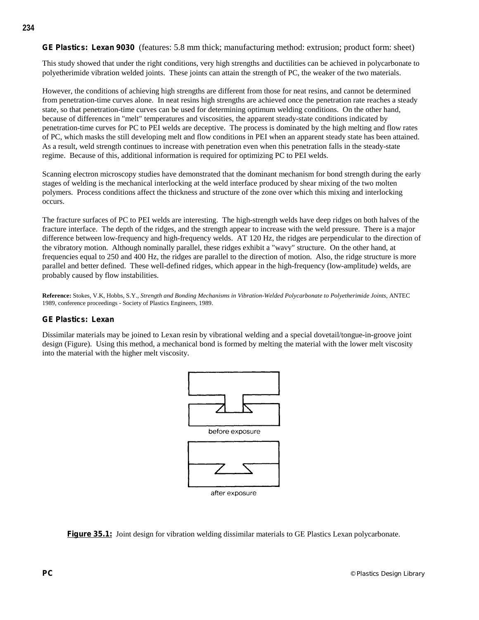**GE Plastics: Lexan 9030** (features: 5.8 mm thick; manufacturing method: extrusion; product form: sheet)

This study showed that under the right conditions, very high strengths and ductilities can be achieved in polycarbonate to polyetherimide vibration welded joints. These joints can attain the strength of PC, the weaker of the two materials.

However, the conditions of achieving high strengths are different from those for neat resins, and cannot be determined from penetration-time curves alone. In neat resins high strengths are achieved once the penetration rate reaches a steady state, so that penetration-time curves can be used for determining optimum welding conditions. On the other hand, because of differences in "melt" temperatures and viscosities, the apparent steady-state conditions indicated by penetration-time curves for PC to PEI welds are deceptive. The process is dominated by the high melting and flow rates of PC, which masks the still developing melt and flow conditions in PEI when an apparent steady state has been attained. As a result, weld strength continues to increase with penetration even when this penetration falls in the steady-state regime. Because of this, additional information is required for optimizing PC to PEI welds.

Scanning electron microscopy studies have demonstrated that the dominant mechanism for bond strength during the early stages of welding is the mechanical interlocking at the weld interface produced by shear mixing of the two molten polymers. Process conditions affect the thickness and structure of the zone over which this mixing and interlocking occurs.

The fracture surfaces of PC to PEI welds are interesting. The high-strength welds have deep ridges on both halves of the fracture interface. The depth of the ridges, and the strength appear to increase with the weld pressure. There is a major difference between low-frequency and high-frequency welds. AT 120 Hz, the ridges are perpendicular to the direction of the vibratory motion. Although nominally parallel, these ridges exhibit a "wavy" structure. On the other hand, at frequencies equal to 250 and 400 Hz, the ridges are parallel to the direction of motion. Also, the ridge structure is more parallel and better defined. These well-defined ridges, which appear in the high-frequency (low-amplitude) welds, are probably caused by flow instabilities.

**Reference:** Stokes, V.K, Hobbs, S.Y., *Strength and Bonding Mechanisms in Vibration-Welded Polycarbonate to Polyetherimide Joints,* ANTEC 1989, conference proceedings - Society of Plastics Engineers, 1989.

#### **GE Plastics: Lexan**

Dissimilar materials may be joined to Lexan resin by vibrational welding and a special dovetail/tongue-in-groove joint design (Figure). Using this method, a mechanical bond is formed by melting the material with the lower melt viscosity into the material with the higher melt viscosity.



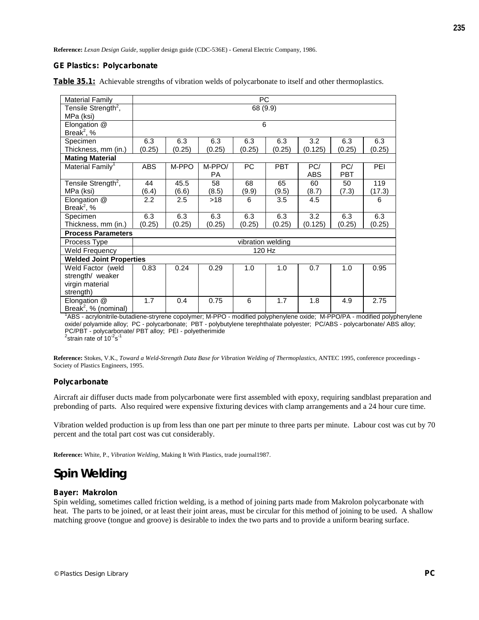#### **GE Plastics: Polycarbonate**

| Material Family                  | PC.        |                   |           |        |            |            |            |        |  |
|----------------------------------|------------|-------------------|-----------|--------|------------|------------|------------|--------|--|
| Tensile Strength <sup>2</sup> ,  | 68 (9.9)   |                   |           |        |            |            |            |        |  |
| MPa (ksi)                        |            |                   |           |        |            |            |            |        |  |
| Elongation @                     | 6          |                   |           |        |            |            |            |        |  |
| Break <sup>2</sup> , $%$         |            |                   |           |        |            |            |            |        |  |
| Specimen                         | 6.3        | 6.3               | 6.3       | 6.3    | 6.3        | 3.2        | 6.3        | 6.3    |  |
| Thickness, mm (in.)              | (0.25)     | (0.25)            | (0.25)    | (0.25) | (0.25)     | (0.125)    | (0.25)     | (0.25) |  |
| <b>Mating Material</b>           |            |                   |           |        |            |            |            |        |  |
| Material Family <sup>1</sup>     | <b>ABS</b> | M-PPO             | M-PPO/    | PC     | <b>PBT</b> | PC/        | PC/        | PEI    |  |
|                                  |            |                   | <b>PA</b> |        |            | <b>ABS</b> | <b>PBT</b> |        |  |
| Tensile Strength <sup>2</sup> ,  | 44         | 45.5              | 58        | 68     | 65         | 60         | 50         | 119    |  |
| MPa (ksi)                        | (6.4)      | (6.6)             | (8.5)     | (9.9)  | (9.5)      | (8.7)      | (7.3)      | (17.3) |  |
| Elongation @                     | 2.2        | 2.5               | >18       | 6      | 3.5        | 4.5        |            | 6      |  |
| Break <sup>2</sup> , $%$         |            |                   |           |        |            |            |            |        |  |
| Specimen                         | 6.3        | 6.3               | 6.3       | 6.3    | 6.3        | 3.2        | 6.3        | 6.3    |  |
| Thickness, mm (in.)              | (0.25)     | (0.25)            | (0.25)    | (0.25) | (0.25)     | (0.125)    | (0.25)     | (0.25) |  |
| <b>Process Parameters</b>        |            |                   |           |        |            |            |            |        |  |
| Process Type                     |            | vibration welding |           |        |            |            |            |        |  |
| <b>Weld Frequency</b>            |            | 120 Hz            |           |        |            |            |            |        |  |
| <b>Welded Joint Properties</b>   |            |                   |           |        |            |            |            |        |  |
| Weld Factor (weld                | 0.83       | 0.24              | 0.29      | 1.0    | 1.0        | 0.7        | 1.0        | 0.95   |  |
| strength/ weaker                 |            |                   |           |        |            |            |            |        |  |
| virgin material                  |            |                   |           |        |            |            |            |        |  |
| strength)                        |            |                   |           |        |            |            |            |        |  |
| Elongation @                     | 1.7        | 0.4               | 0.75      | 6      | 1.7        | 1.8        | 4.9        | 2.75   |  |
| Break <sup>2</sup> , % (nominal) |            |                   |           |        |            |            |            |        |  |

**Table 35.1:** Achievable strengths of vibration welds of polycarbonate to itself and other thermoplastics.

1 ABS - acrylonitrile-butadiene-stryrene copolymer; M-PPO - modified polyphenylene oxide; M-PPO/PA - modified polyphenylene oxide/ polyamide alloy; PC - polycarbonate; PBT - polybutylene terephthalate polyester; PC/ABS - polycarbonate/ ABS alloy; PC/PBT - polycarbonate/ PBT alloy; PEI - polyetherimide

<sup>2</sup>strain rate of 10<sup>-2</sup>s<sup>-1</sup>

**Reference:** Stokes, V.K., *Toward a Weld-Strength Data Base for Vibration Welding of Thermoplastics,* ANTEC 1995, conference proceedings - Society of Plastics Engineers, 1995.

#### **Polycarbonate**

Aircraft air diffuser ducts made from polycarbonate were first assembled with epoxy, requiring sandblast preparation and prebonding of parts. Also required were expensive fixturing devices with clamp arrangements and a 24 hour cure time.

Vibration welded production is up from less than one part per minute to three parts per minute. Labour cost was cut by 70 percent and the total part cost was cut considerably.

**Reference:** White, P., *Vibration Welding,* Making It With Plastics, trade journal1987.

# **Spin Welding**

#### **Bayer: Makrolon**

Spin welding, sometimes called friction welding, is a method of joining parts made from Makrolon polycarbonate with heat. The parts to be joined, or at least their joint areas, must be circular for this method of joining to be used. A shallow matching groove (tongue and groove) is desirable to index the two parts and to provide a uniform bearing surface.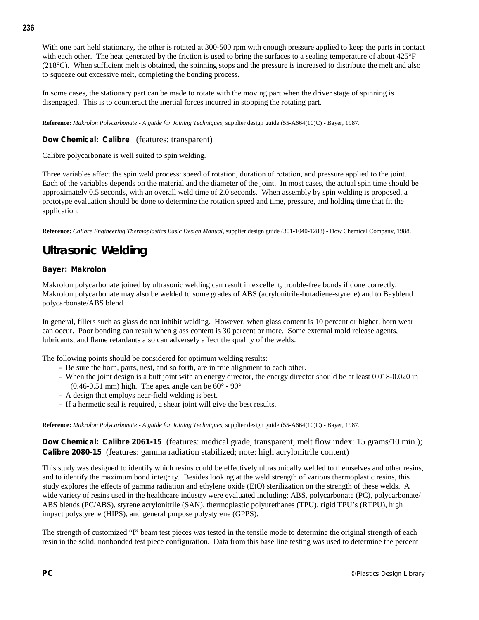With one part held stationary, the other is rotated at 300-500 rpm with enough pressure applied to keep the parts in contact with each other. The heat generated by the friction is used to bring the surfaces to a sealing temperature of about 425°F (218°C). When sufficient melt is obtained, the spinning stops and the pressure is increased to distribute the melt and also to squeeze out excessive melt, completing the bonding process.

In some cases, the stationary part can be made to rotate with the moving part when the driver stage of spinning is disengaged. This is to counteract the inertial forces incurred in stopping the rotating part.

**Reference:** *Makrolon Polycarbonate - A guide for Joining Techniques,* supplier design guide (55-A664(10)C) - Bayer, 1987.

**Dow Chemical: Calibre** (features: transparent)

Calibre polycarbonate is well suited to spin welding.

Three variables affect the spin weld process: speed of rotation, duration of rotation, and pressure applied to the joint. Each of the variables depends on the material and the diameter of the joint. In most cases, the actual spin time should be approximately 0.5 seconds, with an overall weld time of 2.0 seconds. When assembly by spin welding is proposed, a prototype evaluation should be done to determine the rotation speed and time, pressure, and holding time that fit the application.

**Reference:** *Calibre Engineering Thermoplastics Basic Design Manual,* supplier design guide (301-1040-1288) - Dow Chemical Company, 1988.

# **Ultrasonic Welding**

### **Bayer: Makrolon**

Makrolon polycarbonate joined by ultrasonic welding can result in excellent, trouble-free bonds if done correctly. Makrolon polycarbonate may also be welded to some grades of ABS (acrylonitrile-butadiene-styrene) and to Bayblend polycarbonate/ABS blend.

In general, fillers such as glass do not inhibit welding. However, when glass content is 10 percent or higher, horn wear can occur. Poor bonding can result when glass content is 30 percent or more. Some external mold release agents, lubricants, and flame retardants also can adversely affect the quality of the welds.

The following points should be considered for optimum welding results:

- Be sure the horn, parts, nest, and so forth, are in true alignment to each other.
- When the joint design is a butt joint with an energy director, the energy director should be at least 0.018-0.020 in  $(0.46-0.51$  mm) high. The apex angle can be  $60^{\circ}$  -  $90^{\circ}$
- A design that employs near-field welding is best.
- If a hermetic seal is required, a shear joint will give the best results.

**Reference:** *Makrolon Polycarbonate - A guide for Joining Techniques,* supplier design guide (55-A664(10)C) - Bayer, 1987.

**Dow Chemical: Calibre 2061-15** (features: medical grade, transparent; melt flow index: 15 grams/10 min.); **Calibre 2080-15** (features: gamma radiation stabilized; note: high acrylonitrile content)

This study was designed to identify which resins could be effectively ultrasonically welded to themselves and other resins, and to identify the maximum bond integrity. Besides looking at the weld strength of various thermoplastic resins, this study explores the effects of gamma radiation and ethylene oxide (EtO) sterilization on the strength of these welds. A wide variety of resins used in the healthcare industry were evaluated including: ABS, polycarbonate (PC), polycarbonate/ ABS blends (PC/ABS), styrene acrylonitrile (SAN), thermoplastic polyurethanes (TPU), rigid TPU's (RTPU), high impact polystyrene (HIPS), and general purpose polystyrene (GPPS).

The strength of customized "I" beam test pieces was tested in the tensile mode to determine the original strength of each resin in the solid, nonbonded test piece configuration. Data from this base line testing was used to determine the percent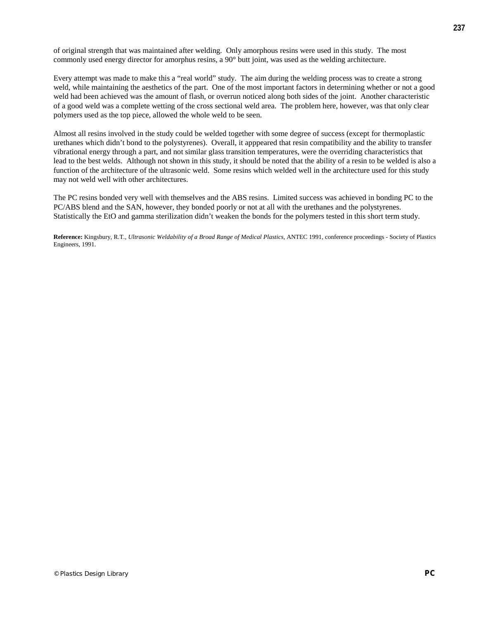of original strength that was maintained after welding. Only amorphous resins were used in this study. The most commonly used energy director for amorphus resins, a 90° butt joint, was used as the welding architecture.

Every attempt was made to make this a "real world" study. The aim during the welding process was to create a strong weld, while maintaining the aesthetics of the part. One of the most important factors in determining whether or not a good weld had been achieved was the amount of flash, or overrun noticed along both sides of the joint. Another characteristic of a good weld was a complete wetting of the cross sectional weld area. The problem here, however, was that only clear polymers used as the top piece, allowed the whole weld to be seen.

Almost all resins involved in the study could be welded together with some degree of success (except for thermoplastic urethanes which didn't bond to the polystyrenes). Overall, it apppeared that resin compatibility and the ability to transfer vibrational energy through a part, and not similar glass transition temperatures, were the overriding characteristics that lead to the best welds. Although not shown in this study, it should be noted that the ability of a resin to be welded is also a function of the architecture of the ultrasonic weld. Some resins which welded well in the architecture used for this study may not weld well with other architectures.

The PC resins bonded very well with themselves and the ABS resins. Limited success was achieved in bonding PC to the PC/ABS blend and the SAN, however, they bonded poorly or not at all with the urethanes and the polystyrenes. Statistically the EtO and gamma sterilization didn't weaken the bonds for the polymers tested in this short term study.

**Reference:** Kingsbury, R.T., *Ultrasonic Weldability of a Broad Range of Medical Plastics,* ANTEC 1991, conference proceedings - Society of Plastics Engineers, 1991.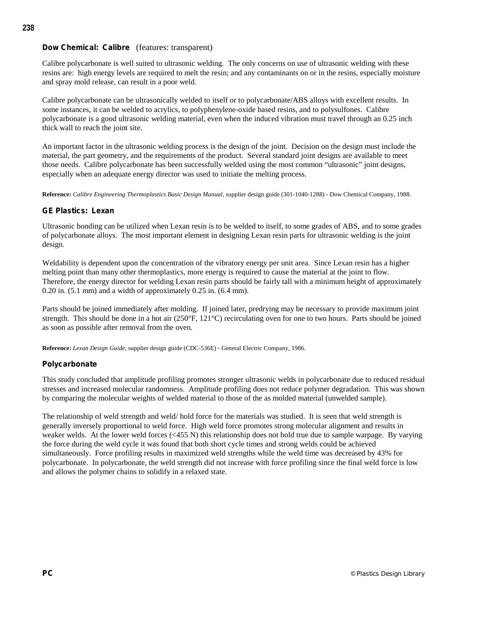### **Dow Chemical: Calibre** (features: transparent)

Calibre polycarbonate is well suited to ultrasonic welding. The only concerns on use of ultrasonic welding with these resins are: high energy levels are required to melt the resin; and any contaminants on or in the resins, especially moisture and spray mold release, can result in a poor weld.

Calibre polycarbonate can be ultrasonically welded to itself or to polycarbonate/ABS alloys with excellent results. In some instances, it can be welded to acrylics, to polyphenylene-oxide based resins, and to polysulfones. Calibre polycarbonate is a good ultrasonic welding material, even when the induced vibration must travel through an 0.25 inch thick wall to reach the joint site.

An important factor in the ultrasonic welding process is the design of the joint. Decision on the design must include the material, the part geometry, and the requirements of the product. Several standard joint designs are available to meet those needs. Calibre polycarbonate has been successfully welded using the most common "ultrasonic" joint designs, especially when an adequate energy director was used to initiate the melting process.

**Reference:** *Calibre Engineering Thermoplastics Basic Design Manual,* supplier design guide (301-1040-1288) - Dow Chemical Company, 1988.

#### **GE Plastics: Lexan**

Ultrasonic bonding can be utilized when Lexan resin is to be welded to itself, to some grades of ABS, and to some grades of polycarbonate alloys. The most important element in designing Lexan resin parts for ultrasonic welding is the joint design.

Weldability is dependent upon the concentration of the vibratory energy per unit area. Since Lexan resin has a higher melting point than many other thermoplastics, more energy is required to cause the material at the joint to flow. Therefore, the energy director for welding Lexan resin parts should be fairly tall with a minimum height of approximately 0.20 in. (5.1 mm) and a width of approximately 0.25 in. (6.4 mm).

Parts should be joined immediately after molding. If joined later, predrying may be necessary to provide maximum joint strength. This should be done in a hot air (250°F, 121°C) recirculating oven for one to two hours. Parts should be joined as soon as possible after removal from the oven.

**Reference:** *Lexan Design Guide,* supplier design guide (CDC-536E) - General Electric Company, 1986.

#### **Polycarbonate**

This study concluded that amplitude profiling promotes stronger ultrasonic welds in polycarbonate due to reduced residual stresses and increased molecular randomness. Amplitude profiling does not reduce polymer degradation. This was shown by comparing the molecular weights of welded material to those of the as molded material (unwelded sample).

The relationship of weld strength and weld/ hold force for the materials was studied. It is seen that weld strength is generally inversely proportional to weld force. High weld force promotes strong molecular alignment and results in weaker welds. At the lower weld forces (<455 N) this relationship does not hold true due to sample warpage. By varying the force during the weld cycle it was found that both short cycle times and strong welds could be achieved simultaneously. Force profiling results in maximized weld strengths while the weld time was decreased by 43% for polycarbonate. In polycarbonate, the weld strength did not increase with force profiling since the final weld force is low and allows the polymer chains to solidify in a relaxed state.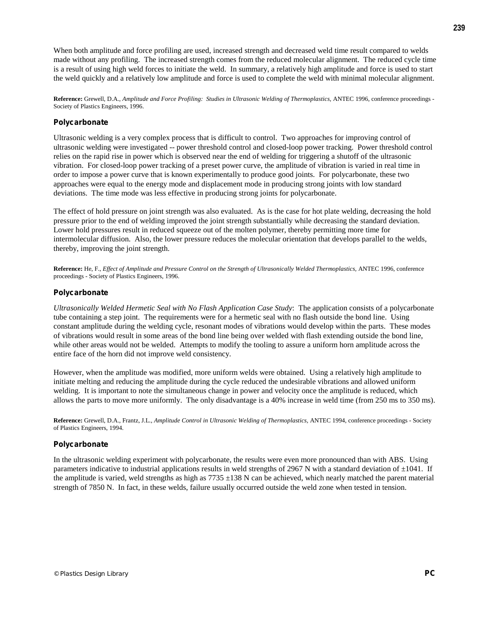When both amplitude and force profiling are used, increased strength and decreased weld time result compared to welds made without any profiling. The increased strength comes from the reduced molecular alignment. The reduced cycle time is a result of using high weld forces to initiate the weld. In summary, a relatively high amplitude and force is used to start the weld quickly and a relatively low amplitude and force is used to complete the weld with minimal molecular alignment.

**Reference:** Grewell, D.A., *Amplitude and Force Profiling: Studies in Ultrasonic Welding of Thermoplastics,* ANTEC 1996, conference proceedings - Society of Plastics Engineers, 1996.

#### **Polycarbonate**

Ultrasonic welding is a very complex process that is difficult to control. Two approaches for improving control of ultrasonic welding were investigated -- power threshold control and closed-loop power tracking. Power threshold control relies on the rapid rise in power which is observed near the end of welding for triggering a shutoff of the ultrasonic vibration. For closed-loop power tracking of a preset power curve, the amplitude of vibration is varied in real time in order to impose a power curve that is known experimentally to produce good joints. For polycarbonate, these two approaches were equal to the energy mode and displacement mode in producing strong joints with low standard deviations. The time mode was less effective in producing strong joints for polycarbonate.

The effect of hold pressure on joint strength was also evaluated. As is the case for hot plate welding, decreasing the hold pressure prior to the end of welding improved the joint strength substantially while decreasing the standard deviation. Lower hold pressures result in reduced squeeze out of the molten polymer, thereby permitting more time for intermolecular diffusion. Also, the lower pressure reduces the molecular orientation that develops parallel to the welds, thereby, improving the joint strength.

**Reference:** He, F., *Effect of Amplitude and Pressure Control on the Strength of Ultrasonically Welded Thermoplastics,* ANTEC 1996, conference proceedings - Society of Plastics Engineers, 1996.

#### **Polycarbonate**

*Ultrasonically Welded Hermetic Seal with No Flash Application Case Study*: The application consists of a polycarbonate tube containing a step joint. The requirements were for a hermetic seal with no flash outside the bond line. Using constant amplitude during the welding cycle, resonant modes of vibrations would develop within the parts. These modes of vibrations would result in some areas of the bond line being over welded with flash extending outside the bond line, while other areas would not be welded. Attempts to modify the tooling to assure a uniform horn amplitude across the entire face of the horn did not improve weld consistency.

However, when the amplitude was modified, more uniform welds were obtained. Using a relatively high amplitude to initiate melting and reducing the amplitude during the cycle reduced the undesirable vibrations and allowed uniform welding. It is important to note the simultaneous change in power and velocity once the amplitude is reduced, which allows the parts to move more uniformly. The only disadvantage is a 40% increase in weld time (from 250 ms to 350 ms).

**Reference:** Grewell, D.A., Frantz, J.L., *Amplitude Control in Ultrasonic Welding of Thermoplastics,* ANTEC 1994, conference proceedings - Society of Plastics Engineers, 1994.

#### **Polycarbonate**

In the ultrasonic welding experiment with polycarbonate, the results were even more pronounced than with ABS. Using parameters indicative to industrial applications results in weld strengths of 2967 N with a standard deviation of  $\pm 1041$ . If the amplitude is varied, weld strengths as high as  $7735 \pm 138$  N can be achieved, which nearly matched the parent material strength of 7850 N. In fact, in these welds, failure usually occurred outside the weld zone when tested in tension.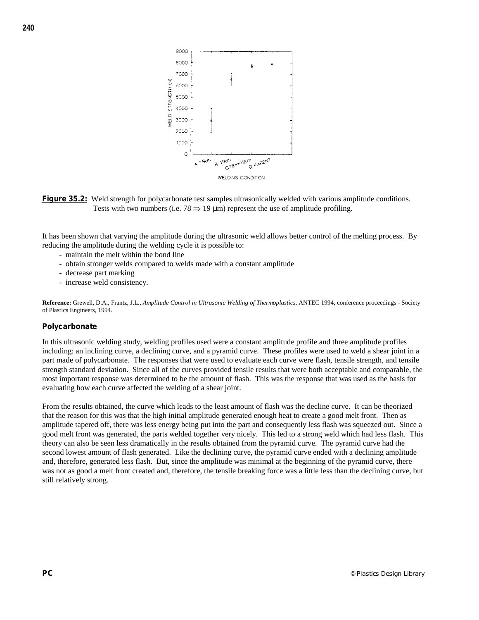

**Figure 35.2:** Weld strength for polycarbonate test samples ultrasonically welded with various amplitude conditions. Tests with two numbers (i.e.  $78 \Rightarrow 19 \,\mu m$ ) represent the use of amplitude profiling.

It has been shown that varying the amplitude during the ultrasonic weld allows better control of the melting process. By reducing the amplitude during the welding cycle it is possible to:

- maintain the melt within the bond line
- obtain stronger welds compared to welds made with a constant amplitude
- decrease part marking
- increase weld consistency.

**Reference:** Grewell, D.A., Frantz, J.L., *Amplitude Control in Ultrasonic Welding of Thermoplastics,* ANTEC 1994, conference proceedings - Society of Plastics Engineers, 1994.

#### **Polycarbonate**

In this ultrasonic welding study, welding profiles used were a constant amplitude profile and three amplitude profiles including: an inclining curve, a declining curve, and a pyramid curve. These profiles were used to weld a shear joint in a part made of polycarbonate. The responses that were used to evaluate each curve were flash, tensile strength, and tensile strength standard deviation. Since all of the curves provided tensile results that were both acceptable and comparable, the most important response was determined to be the amount of flash. This was the response that was used as the basis for evaluating how each curve affected the welding of a shear joint.

From the results obtained, the curve which leads to the least amount of flash was the decline curve. It can be theorized that the reason for this was that the high initial amplitude generated enough heat to create a good melt front. Then as amplitude tapered off, there was less energy being put into the part and consequently less flash was squeezed out. Since a good melt front was generated, the parts welded together very nicely. This led to a strong weld which had less flash. This theory can also be seen less dramatically in the results obtained from the pyramid curve. The pyramid curve had the second lowest amount of flash generated. Like the declining curve, the pyramid curve ended with a declining amplitude and, therefore, generated less flash. But, since the amplitude was minimal at the beginning of the pyramid curve, there was not as good a melt front created and, therefore, the tensile breaking force was a little less than the declining curve, but still relatively strong.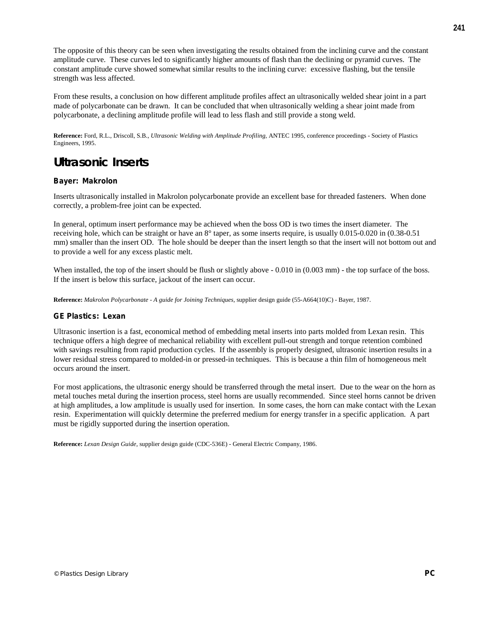The opposite of this theory can be seen when investigating the results obtained from the inclining curve and the constant amplitude curve. These curves led to significantly higher amounts of flash than the declining or pyramid curves. The constant amplitude curve showed somewhat similar results to the inclining curve: excessive flashing, but the tensile strength was less affected.

From these results, a conclusion on how different amplitude profiles affect an ultrasonically welded shear joint in a part made of polycarbonate can be drawn. It can be concluded that when ultrasonically welding a shear joint made from polycarbonate, a declining amplitude profile will lead to less flash and still provide a stong weld.

**Reference:** Ford, R.L., Driscoll, S.B., *Ultrasonic Welding with Amplitude Profiling,* ANTEC 1995, conference proceedings - Society of Plastics Engineers, 1995.

# **Ultrasonic Inserts**

### **Bayer: Makrolon**

Inserts ultrasonically installed in Makrolon polycarbonate provide an excellent base for threaded fasteners. When done correctly, a problem-free joint can be expected.

In general, optimum insert performance may be achieved when the boss OD is two times the insert diameter. The receiving hole, which can be straight or have an 8° taper, as some inserts require, is usually 0.015-0.020 in (0.38-0.51 mm) smaller than the insert OD. The hole should be deeper than the insert length so that the insert will not bottom out and to provide a well for any excess plastic melt.

When installed, the top of the insert should be flush or slightly above - 0.010 in (0.003 mm) - the top surface of the boss. If the insert is below this surface, jackout of the insert can occur.

**Reference:** *Makrolon Polycarbonate - A guide for Joining Techniques,* supplier design guide (55-A664(10)C) - Bayer, 1987.

#### **GE Plastics: Lexan**

Ultrasonic insertion is a fast, economical method of embedding metal inserts into parts molded from Lexan resin. This technique offers a high degree of mechanical reliability with excellent pull-out strength and torque retention combined with savings resulting from rapid production cycles. If the assembly is properly designed, ultrasonic insertion results in a lower residual stress compared to molded-in or pressed-in techniques. This is because a thin film of homogeneous melt occurs around the insert.

For most applications, the ultrasonic energy should be transferred through the metal insert. Due to the wear on the horn as metal touches metal during the insertion process, steel horns are usually recommended. Since steel horns cannot be driven at high amplitudes, a low amplitude is usually used for insertion. In some cases, the horn can make contact with the Lexan resin. Experimentation will quickly determine the preferred medium for energy transfer in a specific application. A part must be rigidly supported during the insertion operation.

**Reference:** *Lexan Design Guide,* supplier design guide (CDC-536E) - General Electric Company, 1986.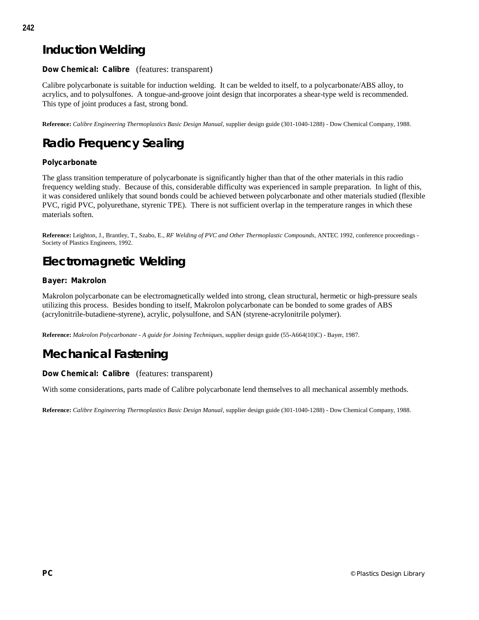# **Induction Welding**

**Dow Chemical: Calibre** (features: transparent)

Calibre polycarbonate is suitable for induction welding. It can be welded to itself, to a polycarbonate/ABS alloy, to acrylics, and to polysulfones. A tongue-and-groove joint design that incorporates a shear-type weld is recommended. This type of joint produces a fast, strong bond.

**Reference:** *Calibre Engineering Thermoplastics Basic Design Manual,* supplier design guide (301-1040-1288) - Dow Chemical Company, 1988.

# **Radio Frequency Sealing**

# **Polycarbonate**

The glass transition temperature of polycarbonate is significantly higher than that of the other materials in this radio frequency welding study. Because of this, considerable difficulty was experienced in sample preparation. In light of this, it was considered unlikely that sound bonds could be achieved between polycarbonate and other materials studied (flexible PVC, rigid PVC, polyurethane, styrenic TPE). There is not sufficient overlap in the temperature ranges in which these materials soften.

**Reference:** Leighton, J., Brantley, T., Szabo, E., *RF Welding of PVC and Other Thermoplastic Compounds,* ANTEC 1992, conference proceedings - Society of Plastics Engineers, 1992.

# **Electromagnetic Welding**

# **Bayer: Makrolon**

Makrolon polycarbonate can be electromagnetically welded into strong, clean structural, hermetic or high-pressure seals utilizing this process. Besides bonding to itself, Makrolon polycarbonate can be bonded to some grades of ABS (acrylonitrile-butadiene-styrene), acrylic, polysulfone, and SAN (styrene-acrylonitrile polymer).

**Reference:** *Makrolon Polycarbonate - A guide for Joining Techniques,* supplier design guide (55-A664(10)C) - Bayer, 1987.

# **Mechanical Fastening**

#### **Dow Chemical: Calibre** (features: transparent)

With some considerations, parts made of Calibre polycarbonate lend themselves to all mechanical assembly methods.

**Reference:** *Calibre Engineering Thermoplastics Basic Design Manual,* supplier design guide (301-1040-1288) - Dow Chemical Company, 1988.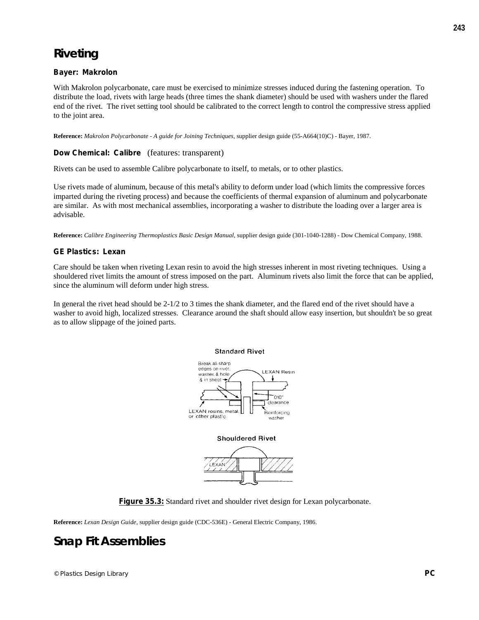# **Riveting**

### **Bayer: Makrolon**

With Makrolon polycarbonate, care must be exercised to minimize stresses induced during the fastening operation. To distribute the load, rivets with large heads (three times the shank diameter) should be used with washers under the flared end of the rivet. The rivet setting tool should be calibrated to the correct length to control the compressive stress applied to the joint area.

**Reference:** *Makrolon Polycarbonate - A guide for Joining Techniques,* supplier design guide (55-A664(10)C) - Bayer, 1987.

### **Dow Chemical: Calibre** (features: transparent)

Rivets can be used to assemble Calibre polycarbonate to itself, to metals, or to other plastics.

Use rivets made of aluminum, because of this metal's ability to deform under load (which limits the compressive forces imparted during the riveting process) and because the coefficients of thermal expansion of aluminum and polycarbonate are similar. As with most mechanical assemblies, incorporating a washer to distribute the loading over a larger area is advisable.

**Reference:** *Calibre Engineering Thermoplastics Basic Design Manual,* supplier design guide (301-1040-1288) - Dow Chemical Company, 1988.

### **GE Plastics: Lexan**

Care should be taken when riveting Lexan resin to avoid the high stresses inherent in most riveting techniques. Using a shouldered rivet limits the amount of stress imposed on the part. Aluminum rivets also limit the force that can be applied, since the aluminum will deform under high stress.

In general the rivet head should be 2-1/2 to 3 times the shank diameter, and the flared end of the rivet should have a washer to avoid high, localized stresses. Clearance around the shaft should allow easy insertion, but shouldn't be so great as to allow slippage of the joined parts.

#### **Standard Rivet**









**Reference:** *Lexan Design Guide,* supplier design guide (CDC-536E) - General Electric Company, 1986.

# **Snap Fit Assemblies**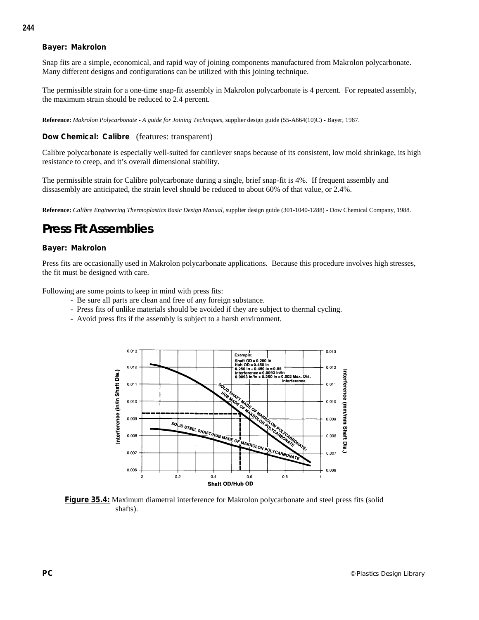# **Bayer: Makrolon**

Snap fits are a simple, economical, and rapid way of joining components manufactured from Makrolon polycarbonate. Many different designs and configurations can be utilized with this joining technique.

The permissible strain for a one-time snap-fit assembly in Makrolon polycarbonate is 4 percent. For repeated assembly, the maximum strain should be reduced to 2.4 percent.

**Reference:** *Makrolon Polycarbonate - A guide for Joining Techniques,* supplier design guide (55-A664(10)C) - Bayer, 1987.

#### **Dow Chemical: Calibre** (features: transparent)

Calibre polycarbonate is especially well-suited for cantilever snaps because of its consistent, low mold shrinkage, its high resistance to creep, and it's overall dimensional stability.

The permissible strain for Calibre polycarbonate during a single, brief snap-fit is 4%. If frequent assembly and dissasembly are anticipated, the strain level should be reduced to about 60% of that value, or 2.4%.

**Reference:** *Calibre Engineering Thermoplastics Basic Design Manual,* supplier design guide (301-1040-1288) - Dow Chemical Company, 1988.

# **Press Fit Assemblies**

#### **Bayer: Makrolon**

Press fits are occasionally used in Makrolon polycarbonate applications. Because this procedure involves high stresses, the fit must be designed with care.

Following are some points to keep in mind with press fits:

- Be sure all parts are clean and free of any foreign substance.
- Press fits of unlike materials should be avoided if they are subject to thermal cycling.
- Avoid press fits if the assembly is subject to a harsh environment.



**Figure 35.4:** Maximum diametral interference for Makrolon polycarbonate and steel press fits (solid shafts).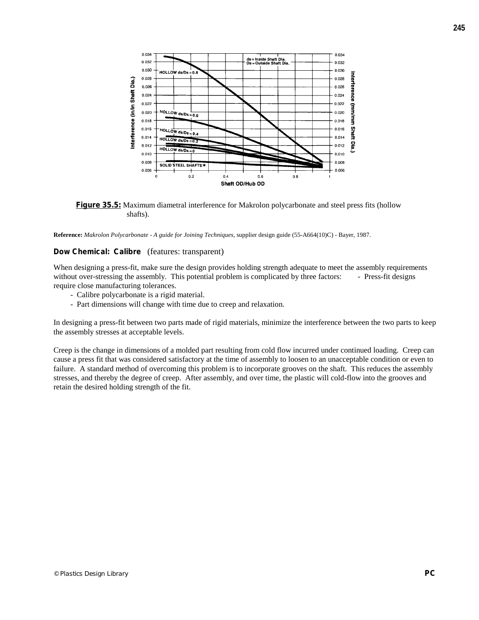

**Figure 35.5:** Maximum diametral interference for Makrolon polycarbonate and steel press fits (hollow shafts).

**Reference:** *Makrolon Polycarbonate - A guide for Joining Techniques,* supplier design guide (55-A664(10)C) - Bayer, 1987.

#### **Dow Chemical: Calibre** (features: transparent)

When designing a press-fit, make sure the design provides holding strength adequate to meet the assembly requirements without over-stressing the assembly. This potential problem is complicated by three factors: - Press-fit designs require close manufacturing tolerances.

- Calibre polycarbonate is a rigid material.
- Part dimensions will change with time due to creep and relaxation.

In designing a press-fit between two parts made of rigid materials, minimize the interference between the two parts to keep the assembly stresses at acceptable levels.

Creep is the change in dimensions of a molded part resulting from cold flow incurred under continued loading. Creep can cause a press fit that was considered satisfactory at the time of assembly to loosen to an unacceptable condition or even to failure. A standard method of overcoming this problem is to incorporate grooves on the shaft. This reduces the assembly stresses, and thereby the degree of creep. After assembly, and over time, the plastic will cold-flow into the grooves and retain the desired holding strength of the fit.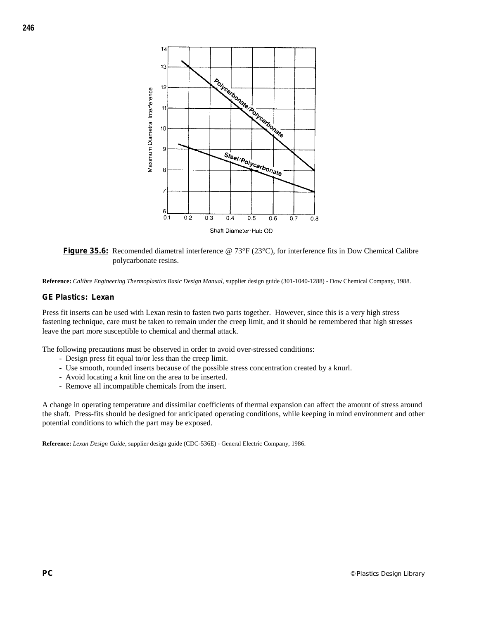

**Figure 35.6:** Recomended diametral interference @ 73°F (23°C), for interference fits in Dow Chemical Calibre polycarbonate resins.

**Reference:** *Calibre Engineering Thermoplastics Basic Design Manual,* supplier design guide (301-1040-1288) - Dow Chemical Company, 1988.

#### **GE Plastics: Lexan**

Press fit inserts can be used with Lexan resin to fasten two parts together. However, since this is a very high stress fastening technique, care must be taken to remain under the creep limit, and it should be remembered that high stresses leave the part more susceptible to chemical and thermal attack.

The following precautions must be observed in order to avoid over-stressed conditions:

- Design press fit equal to/or less than the creep limit.
- Use smooth, rounded inserts because of the possible stress concentration created by a knurl.
- Avoid locating a knit line on the area to be inserted.
- Remove all incompatible chemicals from the insert.

A change in operating temperature and dissimilar coefficients of thermal expansion can affect the amount of stress around the shaft. Press-fits should be designed for anticipated operating conditions, while keeping in mind environment and other potential conditions to which the part may be exposed.

**Reference:** *Lexan Design Guide,* supplier design guide (CDC-536E) - General Electric Company, 1986.

**246**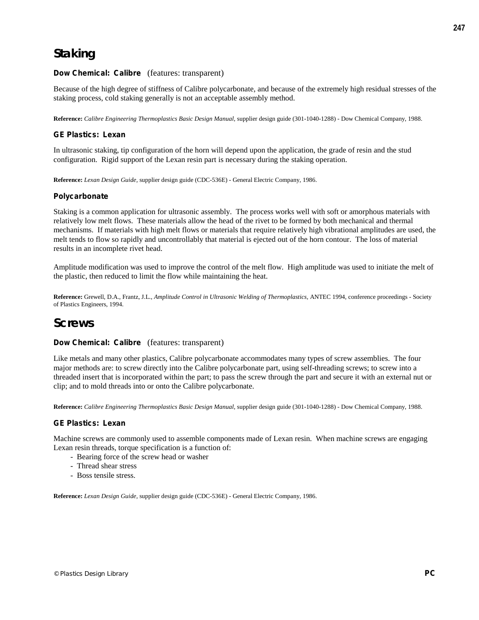# **Staking**

### **Dow Chemical: Calibre** (features: transparent)

Because of the high degree of stiffness of Calibre polycarbonate, and because of the extremely high residual stresses of the staking process, cold staking generally is not an acceptable assembly method.

**Reference:** *Calibre Engineering Thermoplastics Basic Design Manual,* supplier design guide (301-1040-1288) - Dow Chemical Company, 1988.

#### **GE Plastics: Lexan**

In ultrasonic staking, tip configuration of the horn will depend upon the application, the grade of resin and the stud configuration. Rigid support of the Lexan resin part is necessary during the staking operation.

**Reference:** *Lexan Design Guide,* supplier design guide (CDC-536E) - General Electric Company, 1986.

#### **Polycarbonate**

Staking is a common application for ultrasonic assembly. The process works well with soft or amorphous materials with relatively low melt flows. These materials allow the head of the rivet to be formed by both mechanical and thermal mechanisms. If materials with high melt flows or materials that require relatively high vibrational amplitudes are used, the melt tends to flow so rapidly and uncontrollably that material is ejected out of the horn contour. The loss of material results in an incomplete rivet head.

Amplitude modification was used to improve the control of the melt flow. High amplitude was used to initiate the melt of the plastic, then reduced to limit the flow while maintaining the heat.

**Reference:** Grewell, D.A., Frantz, J.L., *Amplitude Control in Ultrasonic Welding of Thermoplastics,* ANTEC 1994, conference proceedings - Society of Plastics Engineers, 1994.

# **Screws**

#### **Dow Chemical: Calibre** (features: transparent)

Like metals and many other plastics, Calibre polycarbonate accommodates many types of screw assemblies. The four major methods are: to screw directly into the Calibre polycarbonate part, using self-threading screws; to screw into a threaded insert that is incorporated within the part; to pass the screw through the part and secure it with an external nut or clip; and to mold threads into or onto the Calibre polycarbonate.

**Reference:** *Calibre Engineering Thermoplastics Basic Design Manual,* supplier design guide (301-1040-1288) - Dow Chemical Company, 1988.

#### **GE Plastics: Lexan**

Machine screws are commonly used to assemble components made of Lexan resin. When machine screws are engaging Lexan resin threads, torque specification is a function of:

- Bearing force of the screw head or washer
- Thread shear stress
- Boss tensile stress.

**Reference:** *Lexan Design Guide,* supplier design guide (CDC-536E) - General Electric Company, 1986.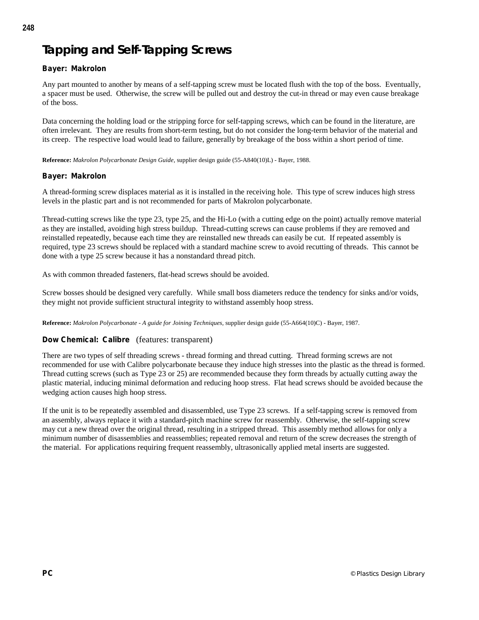# **Tapping and Self-Tapping Screws**

# **Bayer: Makrolon**

Any part mounted to another by means of a self-tapping screw must be located flush with the top of the boss. Eventually, a spacer must be used. Otherwise, the screw will be pulled out and destroy the cut-in thread or may even cause breakage of the boss.

Data concerning the holding load or the stripping force for self-tapping screws, which can be found in the literature, are often irrelevant. They are results from short-term testing, but do not consider the long-term behavior of the material and its creep. The respective load would lead to failure, generally by breakage of the boss within a short period of time.

**Reference:** *Makrolon Polycarbonate Design Guide,* supplier design guide (55-A840(10)L) - Bayer, 1988.

### **Bayer: Makrolon**

A thread-forming screw displaces material as it is installed in the receiving hole. This type of screw induces high stress levels in the plastic part and is not recommended for parts of Makrolon polycarbonate.

Thread-cutting screws like the type 23, type 25, and the Hi-Lo (with a cutting edge on the point) actually remove material as they are installed, avoiding high stress buildup. Thread-cutting screws can cause problems if they are removed and reinstalled repeatedly, because each time they are reinstalled new threads can easily be cut. If repeated assembly is required, type 23 screws should be replaced with a standard machine screw to avoid recutting of threads. This cannot be done with a type 25 screw because it has a nonstandard thread pitch.

As with common threaded fasteners, flat-head screws should be avoided.

Screw bosses should be designed very carefully. While small boss diameters reduce the tendency for sinks and/or voids, they might not provide sufficient structural integrity to withstand assembly hoop stress.

**Reference:** *Makrolon Polycarbonate - A guide for Joining Techniques,* supplier design guide (55-A664(10)C) - Bayer, 1987.

#### **Dow Chemical: Calibre** (features: transparent)

There are two types of self threading screws - thread forming and thread cutting. Thread forming screws are not recommended for use with Calibre polycarbonate because they induce high stresses into the plastic as the thread is formed. Thread cutting screws (such as Type 23 or 25) are recommended because they form threads by actually cutting away the plastic material, inducing minimal deformation and reducing hoop stress. Flat head screws should be avoided because the wedging action causes high hoop stress.

If the unit is to be repeatedly assembled and disassembled, use Type 23 screws. If a self-tapping screw is removed from an assembly, always replace it with a standard-pitch machine screw for reassembly. Otherwise, the self-tapping screw may cut a new thread over the original thread, resulting in a stripped thread. This assembly method allows for only a minimum number of disassemblies and reassemblies; repeated removal and return of the screw decreases the strength of the material. For applications requiring frequent reassembly, ultrasonically applied metal inserts are suggested.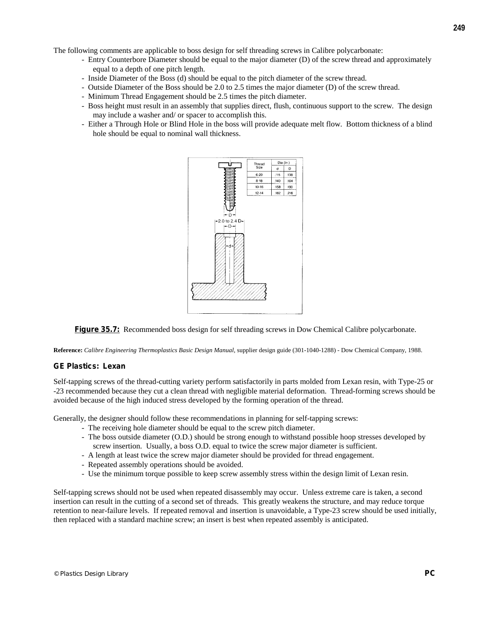The following comments are applicable to boss design for self threading screws in Calibre polycarbonate:

- Entry Counterbore Diameter should be equal to the major diameter (D) of the screw thread and approximately equal to a depth of one pitch length.
- Inside Diameter of the Boss (d) should be equal to the pitch diameter of the screw thread.
- Outside Diameter of the Boss should be 2.0 to 2.5 times the major diameter (D) of the screw thread.
- Minimum Thread Engagement should be 2.5 times the pitch diameter.
- Boss height must result in an assembly that supplies direct, flush, continuous support to the screw. The design may include a washer and/ or spacer to accomplish this.
- Either a Through Hole or Blind Hole in the boss will provide adequate melt flow. Bottom thickness of a blind hole should be equal to nominal wall thickness.



**Figure 35.7:** Recommended boss design for self threading screws in Dow Chemical Calibre polycarbonate.

**Reference:** *Calibre Engineering Thermoplastics Basic Design Manual,* supplier design guide (301-1040-1288) - Dow Chemical Company, 1988.

#### **GE Plastics: Lexan**

Self-tapping screws of the thread-cutting variety perform satisfactorily in parts molded from Lexan resin, with Type-25 or -23 recommended because they cut a clean thread with negligible material deformation. Thread-forming screws should be avoided because of the high induced stress developed by the forming operation of the thread.

Generally, the designer should follow these recommendations in planning for self-tapping screws:

- The receiving hole diameter should be equal to the screw pitch diameter.
- The boss outside diameter (O.D.) should be strong enough to withstand possible hoop stresses developed by screw insertion. Usually, a boss O.D. equal to twice the screw major diameter is sufficient.
- A length at least twice the screw major diameter should be provided for thread engagement.
- Repeated assembly operations should be avoided.
- Use the minimum torque possible to keep screw assembly stress within the design limit of Lexan resin.

Self-tapping screws should not be used when repeated disassembly may occur. Unless extreme care is taken, a second insertion can result in the cutting of a second set of threads. This greatly weakens the structure, and may reduce torque retention to near-failure levels. If repeated removal and insertion is unavoidable, a Type-23 screw should be used initially, then replaced with a standard machine screw; an insert is best when repeated assembly is anticipated.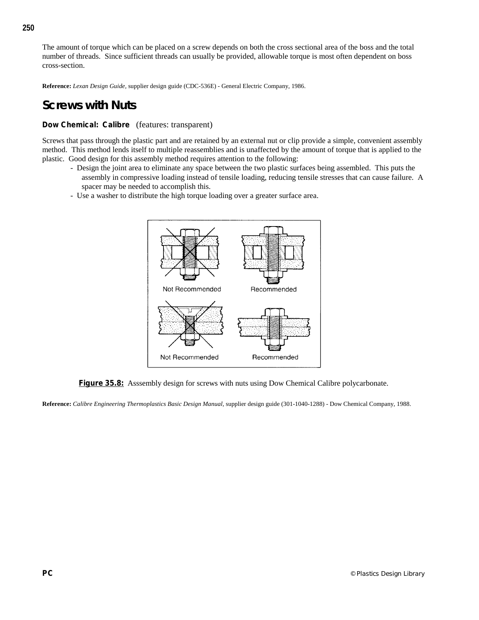The amount of torque which can be placed on a screw depends on both the cross sectional area of the boss and the total number of threads. Since sufficient threads can usually be provided, allowable torque is most often dependent on boss cross-section.

**Reference:** *Lexan Design Guide,* supplier design guide (CDC-536E) - General Electric Company, 1986.

# **Screws with Nuts**

### **Dow Chemical: Calibre** (features: transparent)

Screws that pass through the plastic part and are retained by an external nut or clip provide a simple, convenient assembly method. This method lends itself to multiple reassemblies and is unaffected by the amount of torque that is applied to the plastic. Good design for this assembly method requires attention to the following:

- Design the joint area to eliminate any space between the two plastic surfaces being assembled. This puts the assembly in compressive loading instead of tensile loading, reducing tensile stresses that can cause failure. A spacer may be needed to accomplish this.
- Use a washer to distribute the high torque loading over a greater surface area.



**Figure 35.8:** Asssembly design for screws with nuts using Dow Chemical Calibre polycarbonate.

**Reference:** *Calibre Engineering Thermoplastics Basic Design Manual,* supplier design guide (301-1040-1288) - Dow Chemical Company, 1988.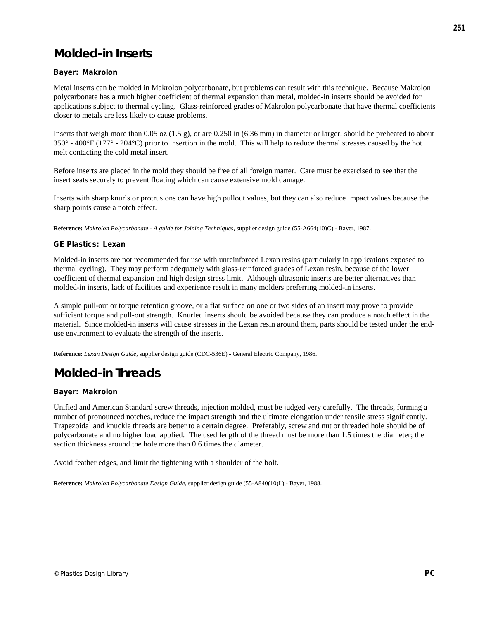# **Molded-in Inserts**

### **Bayer: Makrolon**

Metal inserts can be molded in Makrolon polycarbonate, but problems can result with this technique. Because Makrolon polycarbonate has a much higher coefficient of thermal expansion than metal, molded-in inserts should be avoided for applications subject to thermal cycling. Glass-reinforced grades of Makrolon polycarbonate that have thermal coefficients closer to metals are less likely to cause problems.

Inserts that weigh more than 0.05 oz (1.5 g), or are 0.250 in (6.36 mm) in diameter or larger, should be preheated to about  $350^\circ$  -  $400^\circ$ F (177° - 204°C) prior to insertion in the mold. This will help to reduce thermal stresses caused by the hot melt contacting the cold metal insert.

Before inserts are placed in the mold they should be free of all foreign matter. Care must be exercised to see that the insert seats securely to prevent floating which can cause extensive mold damage.

Inserts with sharp knurls or protrusions can have high pullout values, but they can also reduce impact values because the sharp points cause a notch effect.

**Reference:** *Makrolon Polycarbonate - A guide for Joining Techniques,* supplier design guide (55-A664(10)C) - Bayer, 1987.

### **GE Plastics: Lexan**

Molded-in inserts are not recommended for use with unreinforced Lexan resins (particularly in applications exposed to thermal cycling). They may perform adequately with glass-reinforced grades of Lexan resin, because of the lower coefficient of thermal expansion and high design stress limit. Although ultrasonic inserts are better alternatives than molded-in inserts, lack of facilities and experience result in many molders preferring molded-in inserts.

A simple pull-out or torque retention groove, or a flat surface on one or two sides of an insert may prove to provide sufficient torque and pull-out strength. Knurled inserts should be avoided because they can produce a notch effect in the material. Since molded-in inserts will cause stresses in the Lexan resin around them, parts should be tested under the enduse environment to evaluate the strength of the inserts.

**Reference:** *Lexan Design Guide,* supplier design guide (CDC-536E) - General Electric Company, 1986.

# **Molded-in Threads**

### **Bayer: Makrolon**

Unified and American Standard screw threads, injection molded, must be judged very carefully. The threads, forming a number of pronounced notches, reduce the impact strength and the ultimate elongation under tensile stress significantly. Trapezoidal and knuckle threads are better to a certain degree. Preferably, screw and nut or threaded hole should be of polycarbonate and no higher load applied. The used length of the thread must be more than 1.5 times the diameter; the section thickness around the hole more than 0.6 times the diameter.

Avoid feather edges, and limit the tightening with a shoulder of the bolt.

**Reference:** *Makrolon Polycarbonate Design Guide,* supplier design guide (55-A840(10)L) - Bayer, 1988.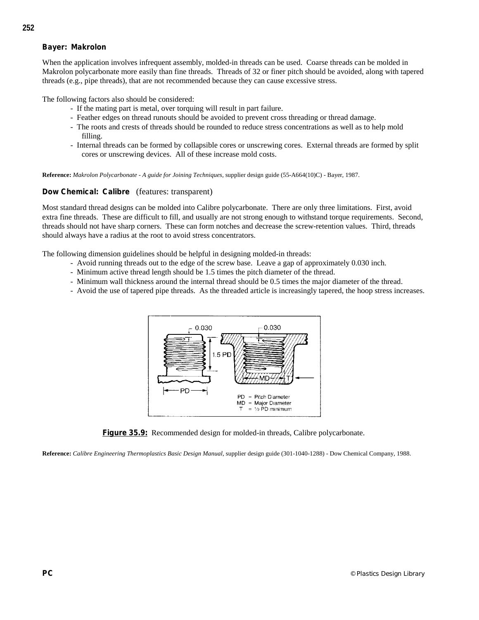## **Bayer: Makrolon**

When the application involves infrequent assembly, molded-in threads can be used. Coarse threads can be molded in Makrolon polycarbonate more easily than fine threads. Threads of 32 or finer pitch should be avoided, along with tapered threads (e.g., pipe threads), that are not recommended because they can cause excessive stress.

The following factors also should be considered:

- If the mating part is metal, over torquing will result in part failure.
- Feather edges on thread runouts should be avoided to prevent cross threading or thread damage.
- The roots and crests of threads should be rounded to reduce stress concentrations as well as to help mold filling.
- Internal threads can be formed by collapsible cores or unscrewing cores. External threads are formed by split cores or unscrewing devices. All of these increase mold costs.

**Reference:** *Makrolon Polycarbonate - A guide for Joining Techniques,* supplier design guide (55-A664(10)C) - Bayer, 1987.

#### **Dow Chemical: Calibre** (features: transparent)

Most standard thread designs can be molded into Calibre polycarbonate. There are only three limitations. First, avoid extra fine threads. These are difficult to fill, and usually are not strong enough to withstand torque requirements. Second, threads should not have sharp corners. These can form notches and decrease the screw-retention values. Third, threads should always have a radius at the root to avoid stress concentrators.

The following dimension guidelines should be helpful in designing molded-in threads:

- Avoid running threads out to the edge of the screw base. Leave a gap of approximately 0.030 inch.
- Minimum active thread length should be 1.5 times the pitch diameter of the thread.
- Minimum wall thickness around the internal thread should be 0.5 times the major diameter of the thread.
- Avoid the use of tapered pipe threads. As the threaded article is increasingly tapered, the hoop stress increases.





**Reference:** *Calibre Engineering Thermoplastics Basic Design Manual,* supplier design guide (301-1040-1288) - Dow Chemical Company, 1988.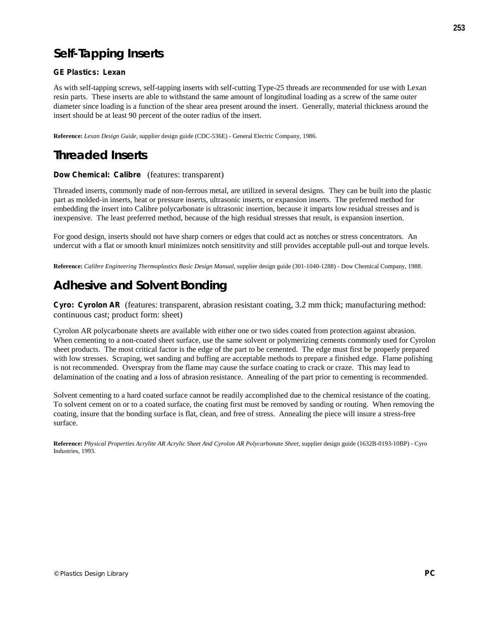# **Self-Tapping Inserts**

### **GE Plastics: Lexan**

As with self-tapping screws, self-tapping inserts with self-cutting Type-25 threads are recommended for use with Lexan resin parts. These inserts are able to withstand the same amount of longitudinal loading as a screw of the same outer diameter since loading is a function of the shear area present around the insert. Generally, material thickness around the insert should be at least 90 percent of the outer radius of the insert.

**Reference:** *Lexan Design Guide,* supplier design guide (CDC-536E) - General Electric Company, 1986.

# **Threaded Inserts**

### **Dow Chemical: Calibre** (features: transparent)

Threaded inserts, commonly made of non-ferrous metal, are utilized in several designs. They can be built into the plastic part as molded-in inserts, heat or pressure inserts, ultrasonic inserts, or expansion inserts. The preferred method for embedding the insert into Calibre polycarbonate is ultrasonic insertion, because it imparts low residual stresses and is inexpensive. The least preferred method, because of the high residual stresses that result, is expansion insertion.

For good design, inserts should not have sharp corners or edges that could act as notches or stress concentrators. An undercut with a flat or smooth knurl minimizes notch sensititvity and still provides acceptable pull-out and torque levels.

**Reference:** *Calibre Engineering Thermoplastics Basic Design Manual,* supplier design guide (301-1040-1288) - Dow Chemical Company, 1988.

# **Adhesive and Solvent Bonding**

**Cyro: Cyrolon AR** (features: transparent, abrasion resistant coating, 3.2 mm thick; manufacturing method: continuous cast; product form: sheet)

Cyrolon AR polycarbonate sheets are available with either one or two sides coated from protection against abrasion. When cementing to a non-coated sheet surface, use the same solvent or polymerizing cements commonly used for Cyrolon sheet products. The most critical factor is the edge of the part to be cemented. The edge must first be properly prepared with low stresses. Scraping, wet sanding and buffing are acceptable methods to prepare a finished edge. Flame polishing is not recommended. Overspray from the flame may cause the surface coating to crack or craze. This may lead to delamination of the coating and a loss of abrasion resistance. Annealing of the part prior to cementing is recommended.

Solvent cementing to a hard coated surface cannot be readily accomplished due to the chemical resistance of the coating. To solvent cement on or to a coated surface, the coating first must be removed by sanding or routing. When removing the coating, insure that the bonding surface is flat, clean, and free of stress. Annealing the piece will insure a stress-free surface.

**Reference:** *Physical Properties Acrylite AR Acrylic Sheet And Cyrolon AR Polycarbonate Sheet,* supplier design guide (1632B-0193-10BP) - Cyro Industries, 1993.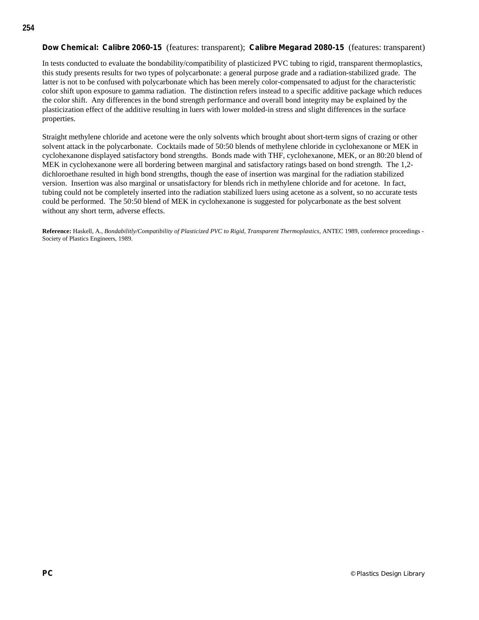### **Dow Chemical: Calibre 2060-15** (features: transparent); **Calibre Megarad 2080-15** (features: transparent)

In tests conducted to evaluate the bondability/compatibility of plasticized PVC tubing to rigid, transparent thermoplastics, this study presents results for two types of polycarbonate: a general purpose grade and a radiation-stabilized grade. The latter is not to be confused with polycarbonate which has been merely color-compensated to adjust for the characteristic color shift upon exposure to gamma radiation. The distinction refers instead to a specific additive package which reduces the color shift. Any differences in the bond strength performance and overall bond integrity may be explained by the plasticization effect of the additive resulting in luers with lower molded-in stress and slight differences in the surface properties.

Straight methylene chloride and acetone were the only solvents which brought about short-term signs of crazing or other solvent attack in the polycarbonate. Cocktails made of 50:50 blends of methylene chloride in cyclohexanone or MEK in cyclohexanone displayed satisfactory bond strengths. Bonds made with THF, cyclohexanone, MEK, or an 80:20 blend of MEK in cyclohexanone were all bordering between marginal and satisfactory ratings based on bond strength. The 1,2 dichloroethane resulted in high bond strengths, though the ease of insertion was marginal for the radiation stabilized version. Insertion was also marginal or unsatisfactory for blends rich in methylene chloride and for acetone. In fact, tubing could not be completely inserted into the radiation stabilized luers using acetone as a solvent, so no accurate tests could be performed. The 50:50 blend of MEK in cyclohexanone is suggested for polycarbonate as the best solvent without any short term, adverse effects.

**Reference:** Haskell, A., *Bondabilitly/Compatibility of Plasticized PVC to Rigid, Transparent Thermoplastics,* ANTEC 1989, conference proceedings - Society of Plastics Engineers, 1989.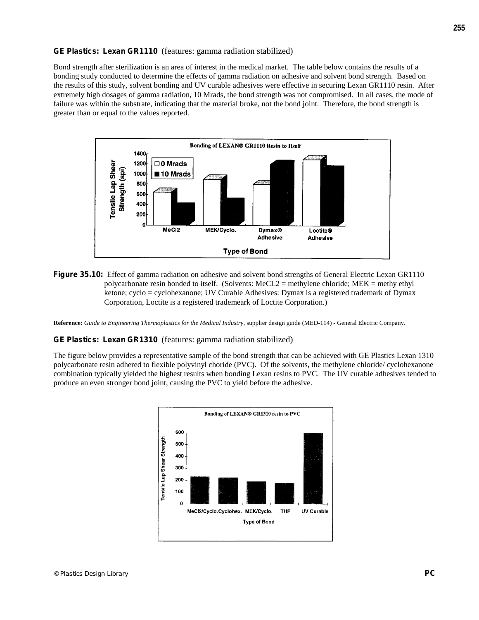#### **GE Plastics: Lexan GR1110** (features: gamma radiation stabilized)

Bond strength after sterilization is an area of interest in the medical market. The table below contains the results of a bonding study conducted to determine the effects of gamma radiation on adhesive and solvent bond strength. Based on the results of this study, solvent bonding and UV curable adhesives were effective in securing Lexan GR1110 resin. After extremely high dosages of gamma radiation, 10 Mrads, the bond strength was not compromised. In all cases, the mode of failure was within the substrate, indicating that the material broke, not the bond joint. Therefore, the bond strength is greater than or equal to the values reported.



**Figure 35.10:** Effect of gamma radiation on adhesive and solvent bond strengths of General Electric Lexan GR1110 polycarbonate resin bonded to itself. (Solvents: MeCL2 = methylene chloride; MEK = methy ethyl ketone; cyclo = cyclohexanone; UV Curable Adhesives: Dymax is a registered trademark of Dymax Corporation, Loctite is a registered trademeark of Loctite Corporation.)

**Reference:** *Guide to Engineering Thermoplastics for the Medical Industry,* supplier design guide (MED-114) - General Electric Company.

#### **GE Plastics: Lexan GR1310** (features: gamma radiation stabilized)

The figure below provides a representative sample of the bond strength that can be achieved with GE Plastics Lexan 1310 polycarbonate resin adhered to flexible polyvinyl choride (PVC). Of the solvents, the methylene chloride/ cyclohexanone combination typically yielded the highest results when bonding Lexan resins to PVC. The UV curable adhesives tended to produce an even stronger bond joint, causing the PVC to yield before the adhesive.

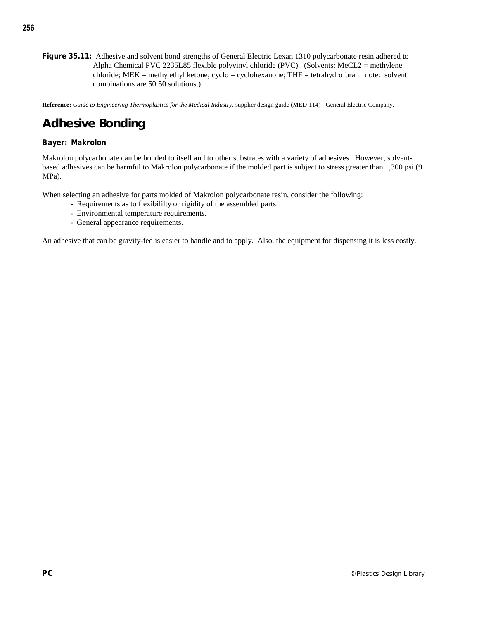**Figure 35.11:** Adhesive and solvent bond strengths of General Electric Lexan 1310 polycarbonate resin adhered to Alpha Chemical PVC 2235L85 flexible polyvinyl chloride (PVC). (Solvents: MeCL2 = methylene chloride; MEK = methy ethyl ketone; cyclo = cyclohexanone; THF = tetrahydrofuran. note: solvent combinations are 50:50 solutions.)

**Reference:** *Guide to Engineering Thermoplastics for the Medical Industry,* supplier design guide (MED-114) - General Electric Company.

# **Adhesive Bonding**

### **Bayer: Makrolon**

Makrolon polycarbonate can be bonded to itself and to other substrates with a variety of adhesives. However, solventbased adhesives can be harmful to Makrolon polycarbonate if the molded part is subject to stress greater than 1,300 psi (9 MPa).

When selecting an adhesive for parts molded of Makrolon polycarbonate resin, consider the following:

- Requirements as to flexibililty or rigidity of the assembled parts.
- Environmental temperature requirements.
- General appearance requirements.

An adhesive that can be gravity-fed is easier to handle and to apply. Also, the equipment for dispensing it is less costly.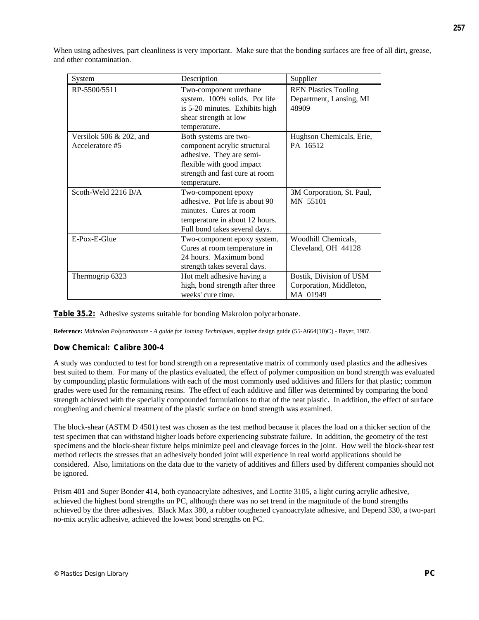| System                                        | Description                                                                                                                                                      | Supplier                                                        |  |  |
|-----------------------------------------------|------------------------------------------------------------------------------------------------------------------------------------------------------------------|-----------------------------------------------------------------|--|--|
| RP-5500/5511                                  | Two-component urethane<br>system. 100% solids. Pot life<br>is 5-20 minutes. Exhibits high<br>shear strength at low<br>temperature.                               | <b>REN Plastics Tooling</b><br>Department, Lansing, MI<br>48909 |  |  |
| Versilok 506 $& 202$ , and<br>Acceleratore #5 | Both systems are two-<br>component acrylic structural<br>adhesive. They are semi-<br>flexible with good impact<br>strength and fast cure at room<br>temperature. | Hughson Chemicals, Erie,<br>PA 16512                            |  |  |
| Scoth-Weld 2216 B/A                           | Two-component epoxy<br>adhesive. Pot life is about 90<br>minutes. Cures at room<br>temperature in about 12 hours.<br>Full bond takes several days.               | 3M Corporation, St. Paul,<br>MN 55101                           |  |  |
| E-Pox-E-Glue                                  | Two-component epoxy system.<br>Cures at room temperature in<br>24 hours. Maximum bond<br>strength takes several days.                                            | Woodhill Chemicals,<br>Cleveland, OH 44128                      |  |  |
| Thermogrip 6323                               | Hot melt adhesive having a<br>high, bond strength after three<br>weeks' cure time.                                                                               | Bostik, Division of USM<br>Corporation, Middleton,<br>MA 01949  |  |  |

When using adhesives, part cleanliness is very important. Make sure that the bonding surfaces are free of all dirt, grease, and other contamination.

#### **Table 35.2:** Adhesive systems suitable for bonding Makrolon polycarbonate.

**Reference:** *Makrolon Polycarbonate - A guide for Joining Techniques,* supplier design guide (55-A664(10)C) - Bayer, 1987.

weeks' cure time.

#### **Dow Chemical: Calibre 300-4**

A study was conducted to test for bond strength on a representative matrix of commonly used plastics and the adhesives best suited to them. For many of the plastics evaluated, the effect of polymer composition on bond strength was evaluated by compounding plastic formulations with each of the most commonly used additives and fillers for that plastic; common grades were used for the remaining resins. The effect of each additive and filler was determined by comparing the bond strength achieved with the specially compounded formulations to that of the neat plastic. In addition, the effect of surface roughening and chemical treatment of the plastic surface on bond strength was examined.

The block-shear (ASTM D 4501) test was chosen as the test method because it places the load on a thicker section of the test specimen that can withstand higher loads before experiencing substrate failure. In addition, the geometry of the test specimens and the block-shear fixture helps minimize peel and cleavage forces in the joint. How well the block-shear test method reflects the stresses that an adhesively bonded joint will experience in real world applications should be considered. Also, limitations on the data due to the variety of additives and fillers used by different companies should not be ignored.

Prism 401 and Super Bonder 414, both cyanoacrylate adhesives, and Loctite 3105, a light curing acrylic adhesive, achieved the highest bond strengths on PC, although there was no set trend in the magnitude of the bond strengths achieved by the three adhesives. Black Max 380, a rubber toughened cyanoacrylate adhesive, and Depend 330, a two-part no-mix acrylic adhesive, achieved the lowest bond strengths on PC.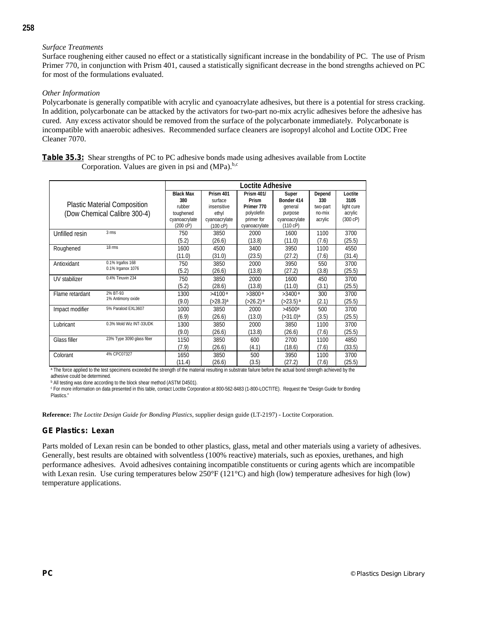### *Surface Treatments*

Surface roughening either caused no effect or a statistically significant increase in the bondability of PC. The use of Prism Primer 770, in conjunction with Prism 401, caused a statistically significant decrease in the bond strengths achieved on PC for most of the formulations evaluated.

#### *Other Information*

Polycarbonate is generally compatible with acrylic and cyanoacrylate adhesives, but there is a potential for stress cracking. In addition, polycarbonate can be attacked by the activators for two-part no-mix acrylic adhesives before the adhesive has cured. Any excess activator should be removed from the surface of the polycarbonate immediately. Polycarbonate is incompatible with anaerobic adhesives. Recommended surface cleaners are isopropyl alcohol and Loctite ODC Free Cleaner 7070.

| Table 35.3: Shear strengths of PC to PC adhesive bonds made using adhesives available from Loctite |  |
|----------------------------------------------------------------------------------------------------|--|
| Corporation. Values are given in psi and $(MPa)$ . <sup>b,c</sup>                                  |  |

|                                                                     |                           | Loctite Adhesive |                         |                   |               |          |            |
|---------------------------------------------------------------------|---------------------------|------------------|-------------------------|-------------------|---------------|----------|------------|
|                                                                     |                           | <b>Black Max</b> | Prism 401               | <b>Prism 401/</b> | Super         | Depend   | Loctite    |
| <b>Plastic Material Composition</b><br>(Dow Chemical Calibre 300-4) |                           | 380              | surface                 | Prism             | Bonder 414    | 330      | 3105       |
|                                                                     |                           | rubber           | insensitive             | Primer 770        | deneral       | two-part | light cure |
|                                                                     |                           | toughened        | ethyl                   | polyolefin        | purpose       | no-mix   | acrylic    |
|                                                                     |                           | cyanoacrylate    | cyanoacrylate           | primer for        | cyanoacrylate | acrylic  | (300 cP)   |
|                                                                     |                           | (200 cP)         | (100 cP)                | cyanoacrylate     | (110 cP)      |          |            |
| Unfilled resin                                                      | 3 rms                     | 750              | 3850                    | 2000              | 1600          | 1100     | 3700       |
|                                                                     |                           | (5.2)            | (26.6)                  | (13.8)            | (11.0)        | (7.6)    | (25.5)     |
| Roughened                                                           | 18 rms                    | 1600             | 4500                    | 3400              | 3950          | 1100     | 4550       |
|                                                                     |                           | (11.0)           | (31.0)                  | (23.5)            | (27.2)        | (7.6)    | (31.4)     |
| Antioxidant                                                         | 0.1% Irgafos 168          | 750              | 3850                    | 2000              | 3950          | 550      | 3700       |
|                                                                     | 0.1% Irganox 1076         | (5.2)            | (26.6)                  | (13.8)            | (27.2)        | (3.8)    | (25.5)     |
| UV stabilizer                                                       | 0.4% Tinuvin 234          | 750              | 3850                    | 2000              | 1600          | 450      | 3700       |
|                                                                     |                           | (5.2)            | (28.6)                  | (13.8)            | (11.0)        | (3.1)    | (25.5)     |
| Flame retardant                                                     | 2% BT-93                  | 1300             | $>4100$ a               | >3800a            | $>3400$ a     | 300      | 3700       |
|                                                                     | 1% Antimony oxide         | (9.0)            | $( >28.3)$ <sup>a</sup> | (>26.2) a         | (>23.5)a      | (2.1)    | (25.5)     |
| Impact modifier                                                     | 5% Paraloid EXL3607       | 1000             | 3850                    | 2000              | $>4500$ a     | 500      | 3700       |
|                                                                     |                           | (6.9)            | (26.6)                  | (13.0)            | (>31.0)ª      | (3.5)    | (25.5)     |
| Lubricant                                                           | 0.3% Mold Wiz INT-33UDK   | 1300             | 3850                    | 2000              | 3850          | 1100     | 3700       |
|                                                                     |                           | (9.0)            | (26.6)                  | (13.8)            | (26.6)        | (7.6)    | (25.5)     |
| <b>Glass filler</b>                                                 | 23% Type 3090 glass fiber | 1150             | 3850                    | 600               | 2700          | 1100     | 4850       |
|                                                                     |                           | (7.9)            | (26.6)                  | (4.1)             | (18.6)        | (7.6)    | (33.5)     |
| Colorant                                                            | 4% CPC07327               | 1650             | 3850                    | 500               | 3950          | 1100     | 3700       |
|                                                                     |                           | (11.4)           | (26.6)                  | (3.5)             | (27.2)        | (7.6)    | (25.5)     |

<sup>a</sup> The force applied to the test specimens exceeded the strength of the material resulting in substrate failure before the actual bond strength achieved by the adhesive could be determined.

**b** All testing was done according to the block shear method (ASTM D4501).

<sup>c</sup> For more information on data presented in this table, contact Loctite Corporation at 800-562-8483 (1-800-LOCTITE). Request the "Design Guide for Bonding Plastics."

**Reference:** *The Loctite Design Guide for Bonding Plastics,* supplier design guide (LT-2197) - Loctite Corporation.

### **GE Plastics: Lexan**

Parts molded of Lexan resin can be bonded to other plastics, glass, metal and other materials using a variety of adhesives. Generally, best results are obtained with solventless (100% reactive) materials, such as epoxies, urethanes, and high performance adhesives. Avoid adhesives containing incompatible constituents or curing agents which are incompatible with Lexan resin. Use curing temperatures below 250°F (121°C) and high (low) temperature adhesives for high (low) temperature applications.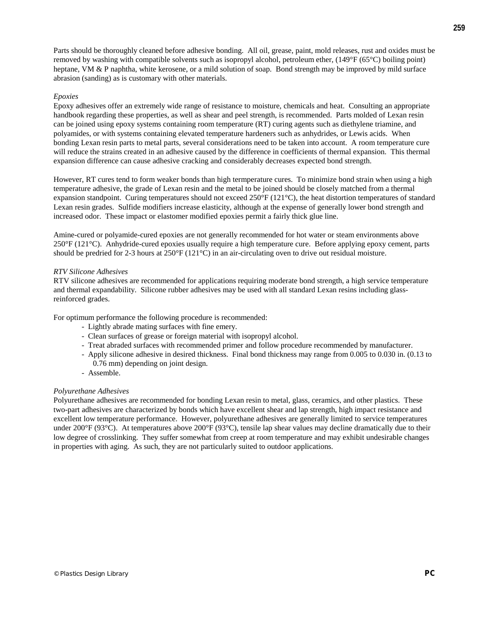Parts should be thoroughly cleaned before adhesive bonding. All oil, grease, paint, mold releases, rust and oxides must be removed by washing with compatible solvents such as isopropyl alcohol, petroleum ether, (149°F (65°C) boiling point) heptane, VM & P naphtha, white kerosene, or a mild solution of soap. Bond strength may be improved by mild surface abrasion (sanding) as is customary with other materials.

#### *Epoxies*

Epoxy adhesives offer an extremely wide range of resistance to moisture, chemicals and heat. Consulting an appropriate handbook regarding these properties, as well as shear and peel strength, is recommended. Parts molded of Lexan resin can be joined using epoxy systems containing room temperature (RT) curing agents such as diethylene triamine, and polyamides, or with systems containing elevated temperature hardeners such as anhydrides, or Lewis acids. When bonding Lexan resin parts to metal parts, several considerations need to be taken into account. A room temperature cure will reduce the strains created in an adhesive caused by the difference in coefficients of thermal expansion. This thermal expansion difference can cause adhesive cracking and considerably decreases expected bond strength.

However, RT cures tend to form weaker bonds than high termperature cures. To minimize bond strain when using a high temperature adhesive, the grade of Lexan resin and the metal to be joined should be closely matched from a thermal expansion standpoint. Curing temperatures should not exceed 250°F (121°C), the heat distortion temperatures of standard Lexan resin grades. Sulfide modifiers increase elasticity, although at the expense of generally lower bond strength and increased odor. These impact or elastomer modified epoxies permit a fairly thick glue line.

Amine-cured or polyamide-cured epoxies are not generally recommended for hot water or steam environments above 250°F (121°C). Anhydride-cured epoxies usually require a high temperature cure. Before applying epoxy cement, parts should be predried for 2-3 hours at 250°F (121°C) in an air-circulating oven to drive out residual moisture.

#### *RTV Silicone Adhesives*

RTV silicone adhesives are recommended for applications requiring moderate bond strength, a high service temperature and thermal expandability. Silicone rubber adhesives may be used with all standard Lexan resins including glassreinforced grades.

For optimum performance the following procedure is recommended:

- Lightly abrade mating surfaces with fine emery.
- Clean surfaces of grease or foreign material with isopropyl alcohol.
- Treat abraded surfaces with recommended primer and follow procedure recommended by manufacturer.
- Apply silicone adhesive in desired thickness. Final bond thickness may range from 0.005 to 0.030 in. (0.13 to 0.76 mm) depending on joint design.
- Assemble.

#### *Polyurethane Adhesives*

Polyurethane adhesives are recommended for bonding Lexan resin to metal, glass, ceramics, and other plastics. These two-part adhesives are characterized by bonds which have excellent shear and lap strength, high impact resistance and excellent low temperature performance. However, polyurethane adhesives are generally limited to service temperatures under 200°F (93°C). At temperatures above 200°F (93°C), tensile lap shear values may decline dramatically due to their low degree of crosslinking. They suffer somewhat from creep at room temperature and may exhibit undesirable changes in properties with aging. As such, they are not particularly suited to outdoor applications.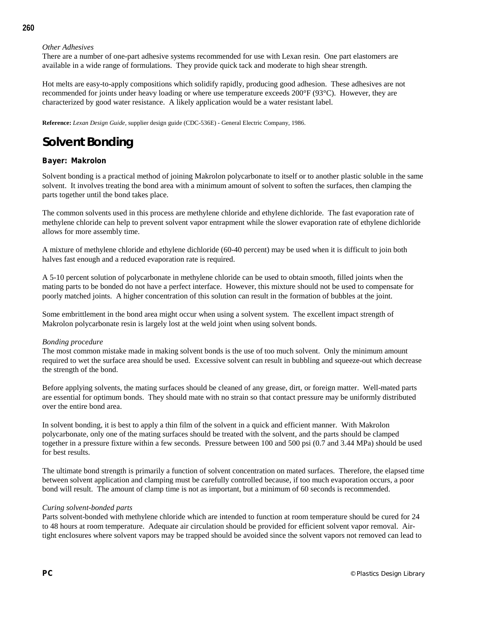### *Other Adhesives*

There are a number of one-part adhesive systems recommended for use with Lexan resin. One part elastomers are available in a wide range of formulations. They provide quick tack and moderate to high shear strength.

Hot melts are easy-to-apply compositions which solidify rapidly, producing good adhesion. These adhesives are not recommended for joints under heavy loading or where use temperature exceeds 200°F (93°C). However, they are characterized by good water resistance. A likely application would be a water resistant label.

**Reference:** *Lexan Design Guide,* supplier design guide (CDC-536E) - General Electric Company, 1986.

# **Solvent Bonding**

### **Bayer: Makrolon**

Solvent bonding is a practical method of joining Makrolon polycarbonate to itself or to another plastic soluble in the same solvent. It involves treating the bond area with a minimum amount of solvent to soften the surfaces, then clamping the parts together until the bond takes place.

The common solvents used in this process are methylene chloride and ethylene dichloride. The fast evaporation rate of methylene chloride can help to prevent solvent vapor entrapment while the slower evaporation rate of ethylene dichloride allows for more assembly time.

A mixture of methylene chloride and ethylene dichloride (60-40 percent) may be used when it is difficult to join both halves fast enough and a reduced evaporation rate is required.

A 5-10 percent solution of polycarbonate in methylene chloride can be used to obtain smooth, filled joints when the mating parts to be bonded do not have a perfect interface. However, this mixture should not be used to compensate for poorly matched joints. A higher concentration of this solution can result in the formation of bubbles at the joint.

Some embrittlement in the bond area might occur when using a solvent system. The excellent impact strength of Makrolon polycarbonate resin is largely lost at the weld joint when using solvent bonds.

#### *Bonding procedure*

The most common mistake made in making solvent bonds is the use of too much solvent. Only the minimum amount required to wet the surface area should be used. Excessive solvent can result in bubbling and squeeze-out which decrease the strength of the bond.

Before applying solvents, the mating surfaces should be cleaned of any grease, dirt, or foreign matter. Well-mated parts are essential for optimum bonds. They should mate with no strain so that contact pressure may be uniformly distributed over the entire bond area.

In solvent bonding, it is best to apply a thin film of the solvent in a quick and efficient manner. With Makrolon polycarbonate, only one of the mating surfaces should be treated with the solvent, and the parts should be clamped together in a pressure fixture within a few seconds. Pressure between 100 and 500 psi (0.7 and 3.44 MPa) should be used for best results.

The ultimate bond strength is primarily a function of solvent concentration on mated surfaces. Therefore, the elapsed time between solvent application and clamping must be carefully controlled because, if too much evaporation occurs, a poor bond will result. The amount of clamp time is not as important, but a minimum of 60 seconds is recommended.

#### *Curing solvent-bonded parts*

Parts solvent-bonded with methylene chloride which are intended to function at room temperature should be cured for 24 to 48 hours at room temperature. Adequate air circulation should be provided for efficient solvent vapor removal. Airtight enclosures where solvent vapors may be trapped should be avoided since the solvent vapors not removed can lead to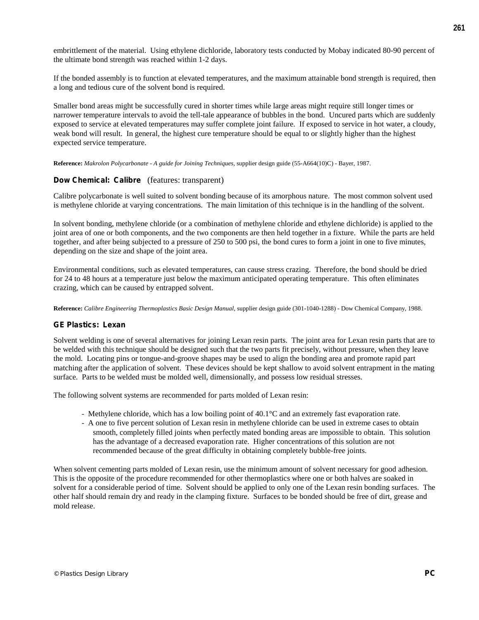embrittlement of the material. Using ethylene dichloride, laboratory tests conducted by Mobay indicated 80-90 percent of the ultimate bond strength was reached within 1-2 days.

If the bonded assembly is to function at elevated temperatures, and the maximum attainable bond strength is required, then a long and tedious cure of the solvent bond is required.

Smaller bond areas might be successfully cured in shorter times while large areas might require still longer times or narrower temperature intervals to avoid the tell-tale appearance of bubbles in the bond. Uncured parts which are suddenly exposed to service at elevated temperatures may suffer complete joint failure. If exposed to service in hot water, a cloudy, weak bond will result. In general, the highest cure temperature should be equal to or slightly higher than the highest expected service temperature.

**Reference:** *Makrolon Polycarbonate - A guide for Joining Techniques,* supplier design guide (55-A664(10)C) - Bayer, 1987.

#### **Dow Chemical: Calibre** (features: transparent)

Calibre polycarbonate is well suited to solvent bonding because of its amorphous nature. The most common solvent used is methylene chloride at varying concentrations. The main limitation of this technique is in the handling of the solvent.

In solvent bonding, methylene chloride (or a combination of methylene chloride and ethylene dichloride) is applied to the joint area of one or both components, and the two components are then held together in a fixture. While the parts are held together, and after being subjected to a pressure of 250 to 500 psi, the bond cures to form a joint in one to five minutes, depending on the size and shape of the joint area.

Environmental conditions, such as elevated temperatures, can cause stress crazing. Therefore, the bond should be dried for 24 to 48 hours at a temperature just below the maximum anticipated operating temperature. This often eliminates crazing, which can be caused by entrapped solvent.

**Reference:** *Calibre Engineering Thermoplastics Basic Design Manual,* supplier design guide (301-1040-1288) - Dow Chemical Company, 1988.

#### **GE Plastics: Lexan**

Solvent welding is one of several alternatives for joining Lexan resin parts. The joint area for Lexan resin parts that are to be welded with this technique should be designed such that the two parts fit precisely, without pressure, when they leave the mold. Locating pins or tongue-and-groove shapes may be used to align the bonding area and promote rapid part matching after the application of solvent. These devices should be kept shallow to avoid solvent entrapment in the mating surface. Parts to be welded must be molded well, dimensionally, and possess low residual stresses.

The following solvent systems are recommended for parts molded of Lexan resin:

- Methylene chloride, which has a low boiling point of 40.1°C and an extremely fast evaporation rate.
- A one to five percent solution of Lexan resin in methylene chloride can be used in extreme cases to obtain smooth, completely filled joints when perfectly mated bonding areas are impossible to obtain. This solution has the advantage of a decreased evaporation rate. Higher concentrations of this solution are not recommended because of the great difficulty in obtaining completely bubble-free joints.

When solvent cementing parts molded of Lexan resin, use the minimum amount of solvent necessary for good adhesion. This is the opposite of the procedure recommended for other thermoplastics where one or both halves are soaked in solvent for a considerable period of time. Solvent should be applied to only one of the Lexan resin bonding surfaces. The other half should remain dry and ready in the clamping fixture. Surfaces to be bonded should be free of dirt, grease and mold release.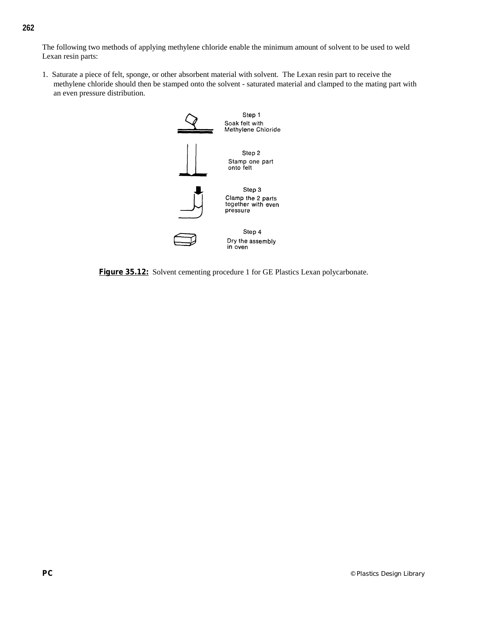The following two methods of applying methylene chloride enable the minimum amount of solvent to be used to weld Lexan resin parts:

1. Saturate a piece of felt, sponge, or other absorbent material with solvent. The Lexan resin part to receive the methylene chloride should then be stamped onto the solvent - saturated material and clamped to the mating part with an even pressure distribution.



**Figure 35.12:** Solvent cementing procedure 1 for GE Plastics Lexan polycarbonate.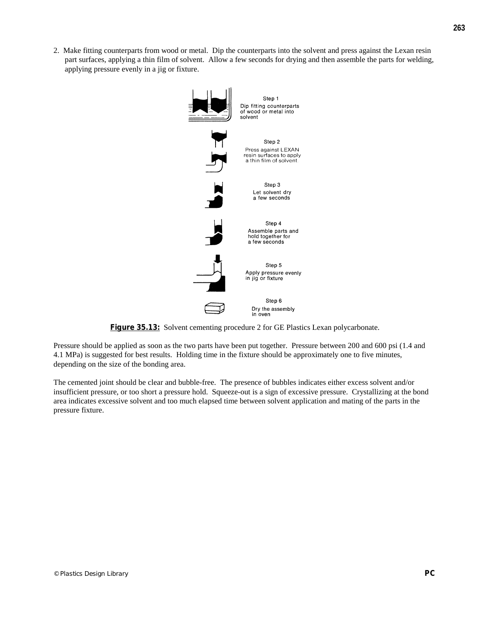2. Make fitting counterparts from wood or metal. Dip the counterparts into the solvent and press against the Lexan resin part surfaces, applying a thin film of solvent. Allow a few seconds for drying and then assemble the parts for welding, applying pressure evenly in a jig or fixture.



**Figure 35.13:** Solvent cementing procedure 2 for GE Plastics Lexan polycarbonate.

Pressure should be applied as soon as the two parts have been put together. Pressure between 200 and 600 psi (1.4 and 4.1 MPa) is suggested for best results. Holding time in the fixture should be approximately one to five minutes, depending on the size of the bonding area.

The cemented joint should be clear and bubble-free. The presence of bubbles indicates either excess solvent and/or insufficient pressure, or too short a pressure hold. Squeeze-out is a sign of excessive pressure. Crystallizing at the bond area indicates excessive solvent and too much elapsed time between solvent application and mating of the parts in the pressure fixture.